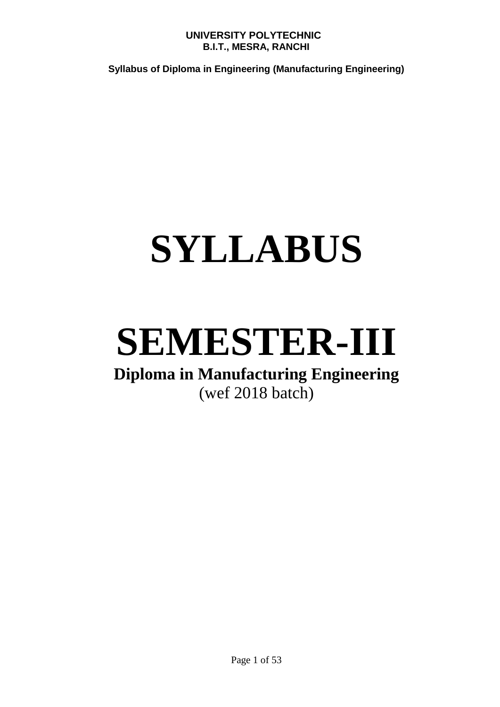**Syllabus of Diploma in Engineering (Manufacturing Engineering)**

# **SYLLABUS**

# **SEMESTER-III**

# **Diploma in Manufacturing Engineering** (wef 2018 batch)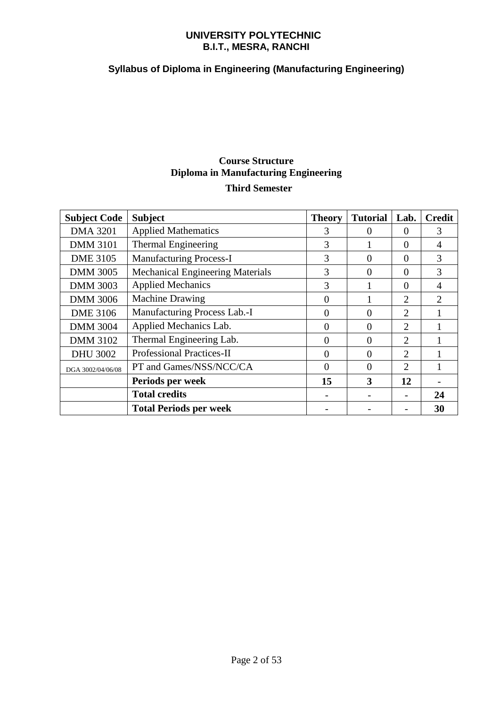# **Syllabus of Diploma in Engineering (Manufacturing Engineering)**

# **Course Structure Diploma in Manufacturing Engineering Third Semester**

| <b>Subject Code</b> | <b>Subject</b>                          | <b>Theory</b> | <b>Tutorial</b> | Lab.                        | <b>Credit</b>               |
|---------------------|-----------------------------------------|---------------|-----------------|-----------------------------|-----------------------------|
| <b>DMA 3201</b>     | <b>Applied Mathematics</b>              | 3             | 0               | $\Omega$                    | 3                           |
| <b>DMM 3101</b>     | <b>Thermal Engineering</b>              | 3             |                 | $\Omega$                    | 4                           |
| <b>DME 3105</b>     | <b>Manufacturing Process-I</b>          | 3             | 0               | $\Omega$                    | 3                           |
| <b>DMM 3005</b>     | <b>Mechanical Engineering Materials</b> | 3             | 0               | $\Omega$                    | 3                           |
| <b>DMM 3003</b>     | <b>Applied Mechanics</b>                | 3             |                 | $\Omega$                    | 4                           |
| <b>DMM 3006</b>     | <b>Machine Drawing</b>                  | 0             |                 | 2                           | $\mathcal{D}_{\mathcal{A}}$ |
| <b>DME 3106</b>     | Manufacturing Process Lab.-I            | 0             | $\Omega$        | 2                           |                             |
| <b>DMM 3004</b>     | Applied Mechanics Lab.                  | 0             | $\Omega$        | $\mathcal{D}_{\mathcal{L}}$ |                             |
| <b>DMM 3102</b>     | Thermal Engineering Lab.                | 0             | $\Omega$        | $\mathcal{D}_{\mathcal{L}}$ |                             |
| <b>DHU 3002</b>     | <b>Professional Practices-II</b>        | 0             | 0               | $\mathcal{D}_{\mathcal{L}}$ |                             |
| DGA 3002/04/06/08   | PT and Games/NSS/NCC/CA                 | $\theta$      | $\theta$        | 2                           |                             |
|                     | Periods per week                        | 15            | 3               | 12                          |                             |
|                     | <b>Total credits</b>                    |               |                 |                             | 24                          |
|                     | <b>Total Periods per week</b>           |               |                 |                             | 30                          |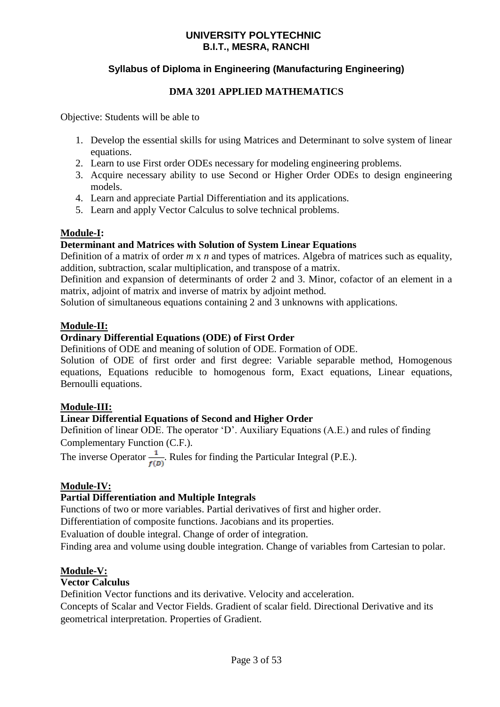# **Syllabus of Diploma in Engineering (Manufacturing Engineering)**

# **DMA 3201 APPLIED MATHEMATICS**

Objective: Students will be able to

- 1. Develop the essential skills for using Matrices and Determinant to solve system of linear equations.
- 2. Learn to use First order ODEs necessary for modeling engineering problems.
- 3. Acquire necessary ability to use Second or Higher Order ODEs to design engineering models.
- 4. Learn and appreciate Partial Differentiation and its applications.
- 5. Learn and apply Vector Calculus to solve technical problems.

# **Module-I:**

### **Determinant and Matrices with Solution of System Linear Equations**

Definition of a matrix of order *m* x *n* and types of matrices. Algebra of matrices such as equality, addition, subtraction, scalar multiplication, and transpose of a matrix.

Definition and expansion of determinants of order 2 and 3. Minor, cofactor of an element in a matrix, adjoint of matrix and inverse of matrix by adjoint method.

Solution of simultaneous equations containing 2 and 3 unknowns with applications.

### **Module-II:**

# **Ordinary Differential Equations (ODE) of First Order**

Definitions of ODE and meaning of solution of ODE. Formation of ODE.

Solution of ODE of first order and first degree: Variable separable method, Homogenous equations, Equations reducible to homogenous form, Exact equations, Linear equations, Bernoulli equations.

### **Module-III:**

### **Linear Differential Equations of Second and Higher Order**

Definition of linear ODE. The operator 'D'. Auxiliary Equations (A.E.) and rules of finding Complementary Function (C.F.).

The inverse Operator  $\frac{1}{f(D)}$ . Rules for finding the Particular Integral (P.E.).

### **Module-IV:**

### **Partial Differentiation and Multiple Integrals**

Functions of two or more variables. Partial derivatives of first and higher order.

Differentiation of composite functions. Jacobians and its properties.

Evaluation of double integral. Change of order of integration.

Finding area and volume using double integration. Change of variables from Cartesian to polar.

### **Module-V:**

### **Vector Calculus**

Definition Vector functions and its derivative. Velocity and acceleration.

Concepts of Scalar and Vector Fields. Gradient of scalar field. Directional Derivative and its geometrical interpretation. Properties of Gradient.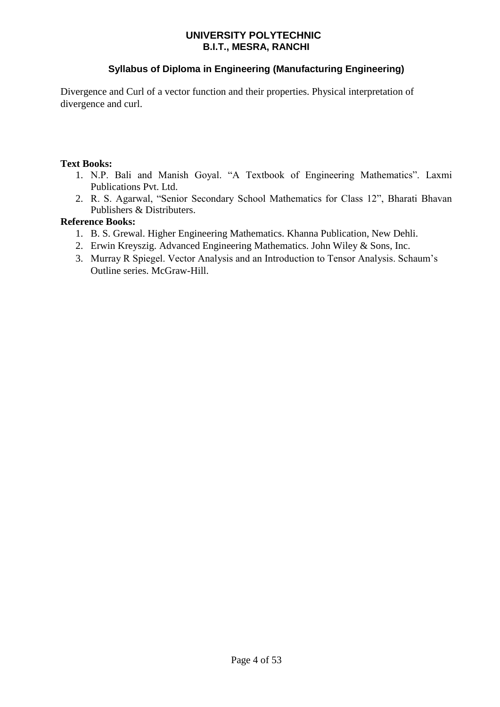# **Syllabus of Diploma in Engineering (Manufacturing Engineering)**

Divergence and Curl of a vector function and their properties. Physical interpretation of divergence and curl.

### **Text Books:**

- 1. N.P. Bali and Manish Goyal. "A Textbook of Engineering Mathematics". Laxmi Publications Pvt. Ltd.
- 2. R. S. Agarwal, "Senior Secondary School Mathematics for Class 12", Bharati Bhavan Publishers & Distributers.

### **Reference Books:**

- 1. B. S. Grewal. Higher Engineering Mathematics. Khanna Publication, New Dehli.
- 2. Erwin Kreyszig. Advanced Engineering Mathematics. John Wiley & Sons, Inc.
- 3. Murray R Spiegel. Vector Analysis and an Introduction to Tensor Analysis. Schaum's Outline series. McGraw-Hill.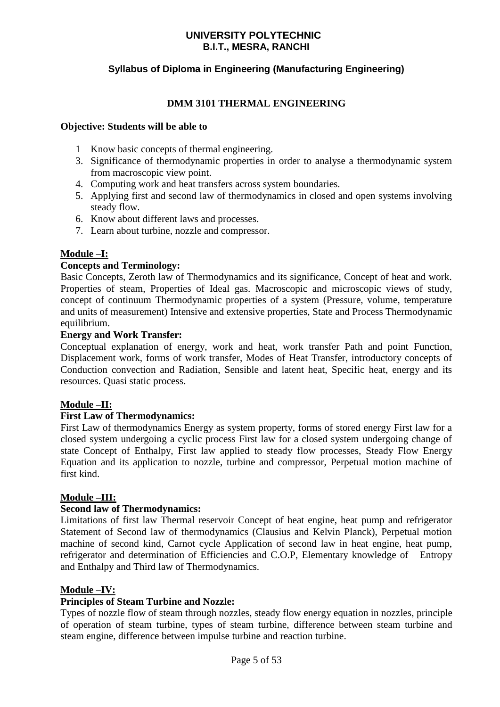# **Syllabus of Diploma in Engineering (Manufacturing Engineering)**

### **DMM 3101 THERMAL ENGINEERING**

### **Objective: Students will be able to**

- 1 Know basic concepts of thermal engineering.
- 3. Significance of thermodynamic properties in order to analyse a thermodynamic system from macroscopic view point.
- 4. Computing work and heat transfers across system boundaries.
- 5. Applying first and second law of thermodynamics in closed and open systems involving steady flow.
- 6. Know about different laws and processes.
- 7. Learn about turbine, nozzle and compressor.

### **Module –I:**

### **Concepts and Terminology:**

Basic Concepts, Zeroth law of Thermodynamics and its significance, Concept of heat and work. Properties of steam, Properties of Ideal gas. Macroscopic and microscopic views of study, concept of continuum Thermodynamic properties of a system (Pressure, volume, temperature and units of measurement) Intensive and extensive properties, State and Process Thermodynamic equilibrium.

### **Energy and Work Transfer:**

Conceptual explanation of energy, work and heat, work transfer Path and point Function, Displacement work, forms of work transfer, Modes of Heat Transfer, introductory concepts of Conduction convection and Radiation, Sensible and latent heat, Specific heat, energy and its resources. Quasi static process.

### **Module –II:**

### **First Law of Thermodynamics:**

First Law of thermodynamics Energy as system property, forms of stored energy First law for a closed system undergoing a cyclic process First law for a closed system undergoing change of state Concept of Enthalpy, First law applied to steady flow processes, Steady Flow Energy Equation and its application to nozzle, turbine and compressor, Perpetual motion machine of first kind.

### **Module –III:**

### **Second law of Thermodynamics:**

Limitations of first law Thermal reservoir Concept of heat engine, heat pump and refrigerator Statement of Second law of thermodynamics (Clausius and Kelvin Planck), Perpetual motion machine of second kind, Carnot cycle Application of second law in heat engine, heat pump, refrigerator and determination of Efficiencies and C.O.P, Elementary knowledge of Entropy and Enthalpy and Third law of Thermodynamics.

### **Module –IV:**

### **Principles of Steam Turbine and Nozzle:**

Types of nozzle flow of steam through nozzles, steady flow energy equation in nozzles, principle of operation of steam turbine, types of steam turbine, difference between steam turbine and steam engine, difference between impulse turbine and reaction turbine.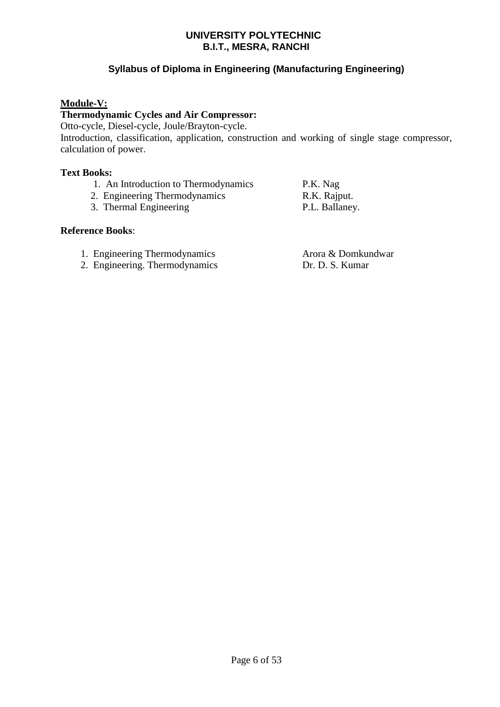# **Syllabus of Diploma in Engineering (Manufacturing Engineering)**

### **Module-V:**

### **Thermodynamic Cycles and Air Compressor:**

Otto-cycle, Diesel-cycle, Joule/Brayton-cycle.

Introduction, classification, application, construction and working of single stage compressor, calculation of power.

### **Text Books:**

- 1. An Introduction to Thermodynamics P.K. Nag
- 2. Engineering Thermodynamics R.K. Rajput.
- 3. Thermal Engineering P.L. Ballaney.

### **Reference Books**:

- 1. Engineering Thermodynamics Arora & Domkundwar
- 2. Engineering. Thermodynamics Dr. D. S. Kumar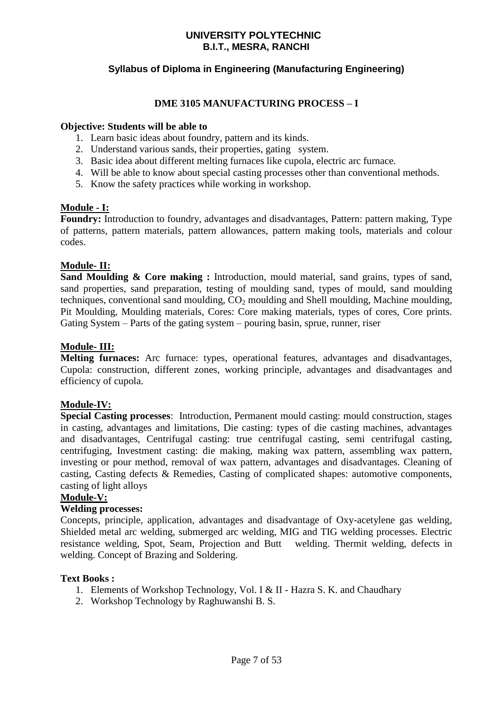# **Syllabus of Diploma in Engineering (Manufacturing Engineering)**

### **DME 3105 MANUFACTURING PROCESS – I**

### **Objective: Students will be able to**

- 1. Learn basic ideas about foundry, pattern and its kinds.
- 2. Understand various sands, their properties, gating system.
- 3. Basic idea about different melting furnaces like cupola, electric arc furnace.
- 4. Will be able to know about special casting processes other than conventional methods.
- 5. Know the safety practices while working in workshop.

#### **Module - I:**

**Foundry:** Introduction to foundry, advantages and disadvantages, Pattern: pattern making, Type of patterns, pattern materials, pattern allowances, pattern making tools, materials and colour codes.

### **Module- II:**

Sand Moulding & Core making : Introduction, mould material, sand grains, types of sand, sand properties, sand preparation, testing of moulding sand, types of mould, sand moulding techniques, conventional sand moulding,  $CO<sub>2</sub>$  moulding and Shell moulding, Machine moulding, Pit Moulding, Moulding materials, Cores: Core making materials, types of cores, Core prints. Gating System – Parts of the gating system – pouring basin, sprue, runner, riser

### **Module- III:**

**Melting furnaces:** Arc furnace: types, operational features, advantages and disadvantages, Cupola: construction, different zones, working principle, advantages and disadvantages and efficiency of cupola.

### **Module-IV:**

**Special Casting processes**: Introduction, Permanent mould casting: mould construction, stages in casting, advantages and limitations, Die casting: types of die casting machines, advantages and disadvantages, Centrifugal casting: true centrifugal casting, semi centrifugal casting, centrifuging, Investment casting: die making, making wax pattern, assembling wax pattern, investing or pour method, removal of wax pattern, advantages and disadvantages. Cleaning of casting, Casting defects & Remedies, Casting of complicated shapes: automotive components, casting of light alloys

### **Module-V:**

### **Welding processes:**

Concepts, principle, application, advantages and disadvantage of Oxy-acetylene gas welding, Shielded metal arc welding, submerged arc welding, MIG and TIG welding processes. Electric resistance welding, Spot, Seam, Projection and Butt welding. Thermit welding, defects in welding. Concept of Brazing and Soldering.

### **Text Books :**

- 1. Elements of Workshop Technology, Vol. I & II Hazra S. K. and Chaudhary
- 2. Workshop Technology by Raghuwanshi B. S.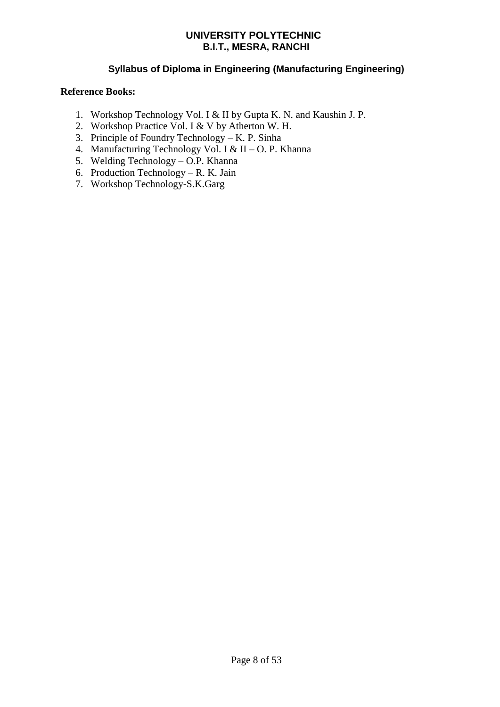# **Syllabus of Diploma in Engineering (Manufacturing Engineering)**

### **Reference Books:**

- 1. Workshop Technology Vol. I & II by Gupta K. N. and Kaushin J. P.
- 2. Workshop Practice Vol. I & V by Atherton W. H.
- 3. Principle of Foundry Technology K. P. Sinha
- 4. Manufacturing Technology Vol. I & II O. P. Khanna
- 5. Welding Technology O.P. Khanna
- 6. Production Technology R. K. Jain
- 7. Workshop Technology-S.K.Garg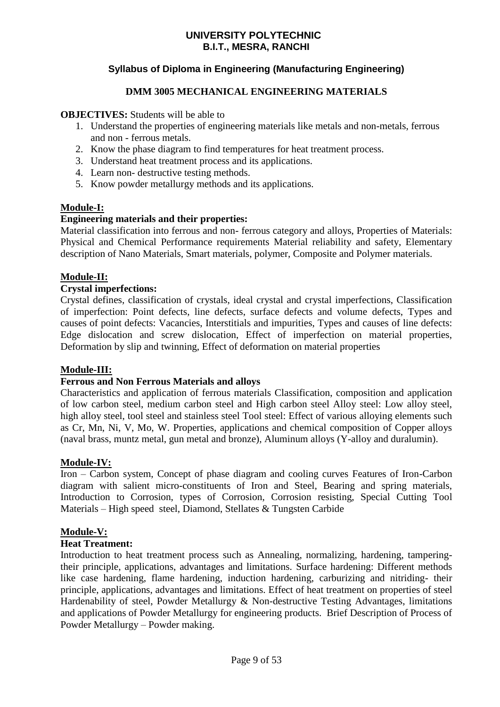# **Syllabus of Diploma in Engineering (Manufacturing Engineering)**

### **DMM 3005 MECHANICAL ENGINEERING MATERIALS**

### **OBJECTIVES:** Students will be able to

- 1. Understand the properties of engineering materials like metals and non-metals, ferrous and non - ferrous metals.
- 2. Know the phase diagram to find temperatures for heat treatment process.
- 3. Understand heat treatment process and its applications.
- 4. Learn non- destructive testing methods.
- 5. Know powder metallurgy methods and its applications.

### **Module-I:**

### **Engineering materials and their properties:**

Material classification into ferrous and non- ferrous category and alloys, Properties of Materials: Physical and Chemical Performance requirements Material reliability and safety, Elementary description of Nano Materials, Smart materials, polymer, Composite and Polymer materials.

### **Module-II:**

### **Crystal imperfections:**

Crystal defines, classification of crystals, ideal crystal and crystal imperfections, Classification of imperfection: Point defects, line defects, surface defects and volume defects, Types and causes of point defects: Vacancies, Interstitials and impurities, Types and causes of line defects: Edge dislocation and screw dislocation, Effect of imperfection on material properties, Deformation by slip and twinning, Effect of deformation on material properties

### **Module-III:**

### **Ferrous and Non Ferrous Materials and alloys**

Characteristics and application of ferrous materials Classification, composition and application of low carbon steel, medium carbon steel and High carbon steel Alloy steel: Low alloy steel, high alloy steel, tool steel and stainless steel Tool steel: Effect of various alloying elements such as Cr, Mn, Ni, V, Mo, W. Properties, applications and chemical composition of Copper alloys (naval brass, muntz metal, gun metal and bronze), Aluminum alloys (Y-alloy and duralumin).

### **Module-IV:**

Iron – Carbon system, Concept of phase diagram and cooling curves Features of Iron-Carbon diagram with salient micro-constituents of Iron and Steel, Bearing and spring materials, Introduction to Corrosion, types of Corrosion, Corrosion resisting, Special Cutting Tool Materials – High speed steel, Diamond, Stellates & Tungsten Carbide

### **Module-V:**

### **Heat Treatment:**

Introduction to heat treatment process such as Annealing, normalizing, hardening, tamperingtheir principle, applications, advantages and limitations. Surface hardening: Different methods like case hardening, flame hardening, induction hardening, carburizing and nitriding- their principle, applications, advantages and limitations. Effect of heat treatment on properties of steel Hardenability of steel, Powder Metallurgy & Non-destructive Testing Advantages, limitations and applications of Powder Metallurgy for engineering products. Brief Description of Process of Powder Metallurgy – Powder making.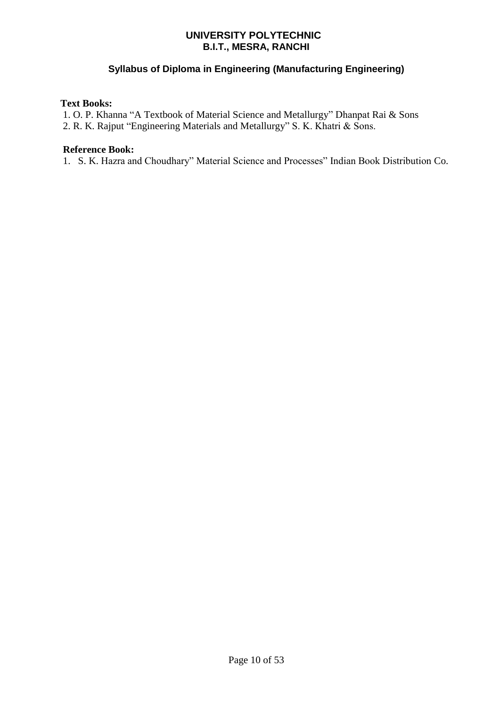# **Syllabus of Diploma in Engineering (Manufacturing Engineering)**

### **Text Books:**

1. O. P. Khanna "A Textbook of Material Science and Metallurgy" Dhanpat Rai & Sons 2. R. K. Rajput "Engineering Materials and Metallurgy" S. K. Khatri & Sons.

### **Reference Book:**

1. S. K. Hazra and Choudhary" Material Science and Processes" Indian Book Distribution Co.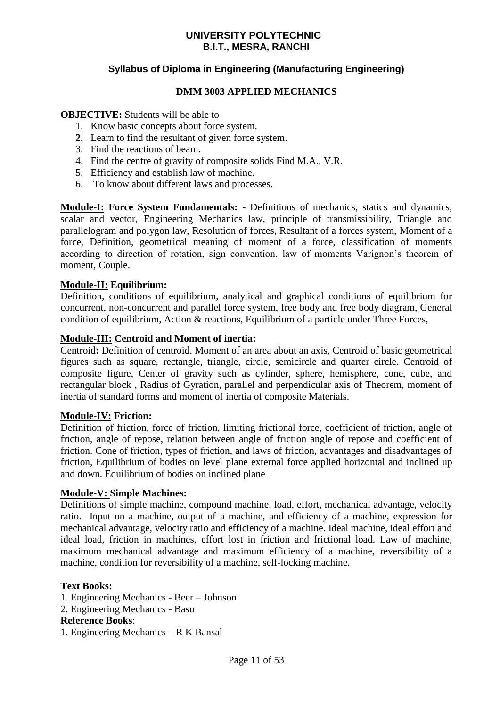# **Syllabus of Diploma in Engineering (Manufacturing Engineering)**

### **DMM 3003 APPLIED MECHANICS**

### **OBJECTIVE:** Students will be able to

- 1. Know basic concepts about force system.
- **2.** Learn to find the resultant of given force system.
- 3. Find the reactions of beam.
- 4. Find the centre of gravity of composite solids Find M.A., V.R.
- 5. Efficiency and establish law of machine.
- 6. To know about different laws and processes.

**Module-I: Force System Fundamentals: -** Definitions of mechanics, statics and dynamics, scalar and vector, Engineering Mechanics law, principle of transmissibility, Triangle and parallelogram and polygon law, Resolution of forces, Resultant of a forces system, Moment of a force, Definition, geometrical meaning of moment of a force, classification of moments according to direction of rotation, sign convention, law of moments Varignon's theorem of moment, Couple.

### **Module-II: Equilibrium:**

Definition, conditions of equilibrium, analytical and graphical conditions of equilibrium for concurrent, non-concurrent and parallel force system, free body and free body diagram, General condition of equilibrium, Action & reactions, Equilibrium of a particle under Three Forces,

### **Module-III: Centroid and Moment of inertia:**

Centroid**:** Definition of centroid. Moment of an area about an axis, Centroid of basic geometrical figures such as square, rectangle, triangle, circle, semicircle and quarter circle. Centroid of composite figure, Center of gravity such as cylinder, sphere, hemisphere, cone, cube, and rectangular block , Radius of Gyration, parallel and perpendicular axis of Theorem, moment of inertia of standard forms and moment of inertia of composite Materials.

### **Module-IV: Friction:**

Definition of friction, force of friction, limiting frictional force, coefficient of friction, angle of friction, angle of repose, relation between angle of friction angle of repose and coefficient of friction. Cone of friction, types of friction, and laws of friction, advantages and disadvantages of friction, Equilibrium of bodies on level plane external force applied horizontal and inclined up and down. Equilibrium of bodies on inclined plane

### **Module-V: Simple Machines:**

Definitions of simple machine, compound machine, load, effort, mechanical advantage, velocity ratio. Input on a machine, output of a machine, and efficiency of a machine, expression for mechanical advantage, velocity ratio and efficiency of a machine. Ideal machine, ideal effort and ideal load, friction in machines, effort lost in friction and frictional load. Law of machine, maximum mechanical advantage and maximum efficiency of a machine, reversibility of a machine, condition for reversibility of a machine, self-locking machine.

### **Text Books:**

- 1. Engineering Mechanics Beer Johnson
- 2. Engineering Mechanics Basu

## **Reference Books**:

1. Engineering Mechanics – R K Bansal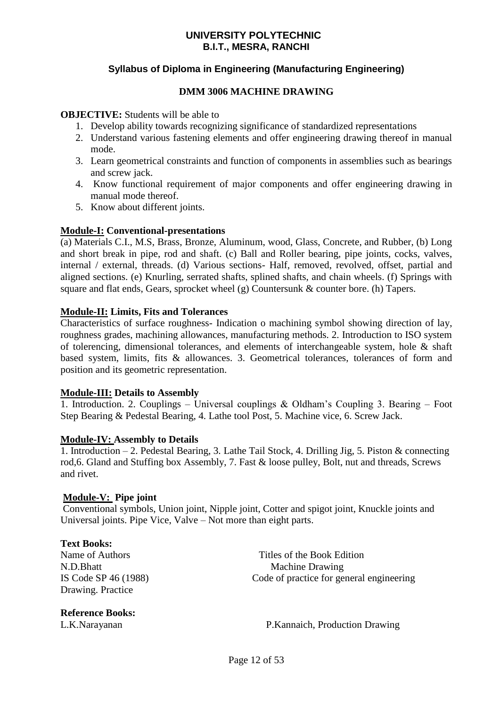# **Syllabus of Diploma in Engineering (Manufacturing Engineering)**

### **DMM 3006 MACHINE DRAWING**

### **OBJECTIVE:** Students will be able to

- 1. Develop ability towards recognizing significance of standardized representations
- 2. Understand various fastening elements and offer engineering drawing thereof in manual mode.
- 3. Learn geometrical constraints and function of components in assemblies such as bearings and screw jack.
- 4. Know functional requirement of major components and offer engineering drawing in manual mode thereof.
- 5. Know about different joints.

### **Module-I: Conventional-presentations**

(a) Materials C.I., M.S, Brass, Bronze, Aluminum, wood, Glass, Concrete, and Rubber, (b) Long and short break in pipe, rod and shaft. (c) Ball and Roller bearing, pipe joints, cocks, valves, internal / external, threads. (d) Various sections- Half, removed, revolved, offset, partial and aligned sections. (e) Knurling, serrated shafts, splined shafts, and chain wheels. (f) Springs with square and flat ends, Gears, sprocket wheel (g) Countersunk & counter bore. (h) Tapers.

### **Module-II: Limits, Fits and Tolerances**

Characteristics of surface roughness- Indication o machining symbol showing direction of lay, roughness grades, machining allowances, manufacturing methods. 2. Introduction to ISO system of tolerencing, dimensional tolerances, and elements of interchangeable system, hole & shaft based system, limits, fits & allowances. 3. Geometrical tolerances, tolerances of form and position and its geometric representation.

### **Module-III: Details to Assembly**

1. Introduction. 2. Couplings – Universal couplings & Oldham's Coupling 3. Bearing – Foot Step Bearing & Pedestal Bearing, 4. Lathe tool Post, 5. Machine vice, 6. Screw Jack.

### **Module-IV: Assembly to Details**

1. Introduction – 2. Pedestal Bearing, 3. Lathe Tail Stock, 4. Drilling Jig, 5. Piston & connecting rod,6. Gland and Stuffing box Assembly, 7. Fast & loose pulley, Bolt, nut and threads, Screws and rivet.

### **Module-V: Pipe joint**

Conventional symbols, Union joint, Nipple joint, Cotter and spigot joint, Knuckle joints and Universal joints. Pipe Vice, Valve – Not more than eight parts.

#### **Text Books:**

Drawing. Practice

**Reference Books:**

Name of Authors **Name of Authors Name of Authors Name of Authors Name of Authors** N.D.Bhatt Machine Drawing IS Code SP 46 (1988) Code of practice for general engineering

L.K.Narayanan P.Kannaich, Production Drawing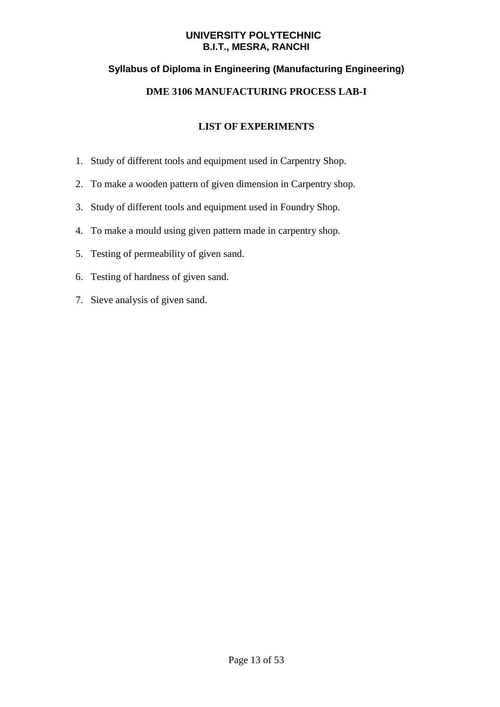# **Syllabus of Diploma in Engineering (Manufacturing Engineering)**

# **DME 3106 MANUFACTURING PROCESS LAB-I**

- 1. Study of different tools and equipment used in Carpentry Shop.
- 2. To make a wooden pattern of given dimension in Carpentry shop.
- 3. Study of different tools and equipment used in Foundry Shop.
- 4. To make a mould using given pattern made in carpentry shop.
- 5. Testing of permeability of given sand.
- 6. Testing of hardness of given sand.
- 7. Sieve analysis of given sand.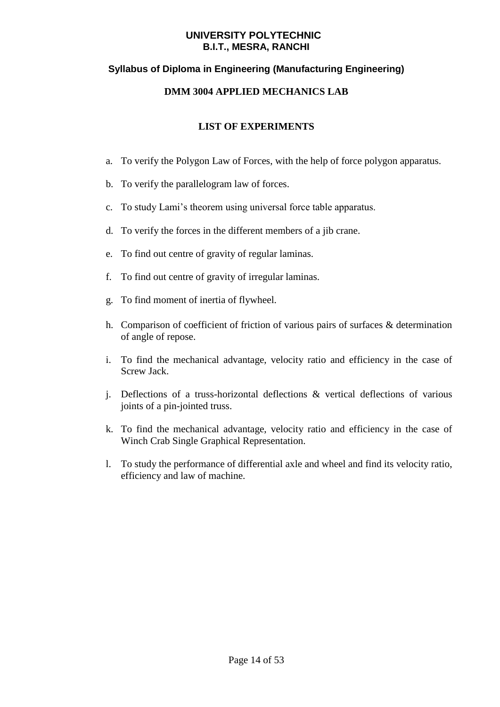# **Syllabus of Diploma in Engineering (Manufacturing Engineering)**

### **DMM 3004 APPLIED MECHANICS LAB**

- a. To verify the Polygon Law of Forces, with the help of force polygon apparatus.
- b. To verify the parallelogram law of forces.
- c. To study Lami's theorem using universal force table apparatus.
- d. To verify the forces in the different members of a jib crane.
- e. To find out centre of gravity of regular laminas.
- f. To find out centre of gravity of irregular laminas.
- g. To find moment of inertia of flywheel.
- h. Comparison of coefficient of friction of various pairs of surfaces & determination of angle of repose.
- i. To find the mechanical advantage, velocity ratio and efficiency in the case of Screw Jack.
- j. Deflections of a truss-horizontal deflections & vertical deflections of various joints of a pin-jointed truss.
- k. To find the mechanical advantage, velocity ratio and efficiency in the case of Winch Crab Single Graphical Representation.
- l. To study the performance of differential axle and wheel and find its velocity ratio, efficiency and law of machine.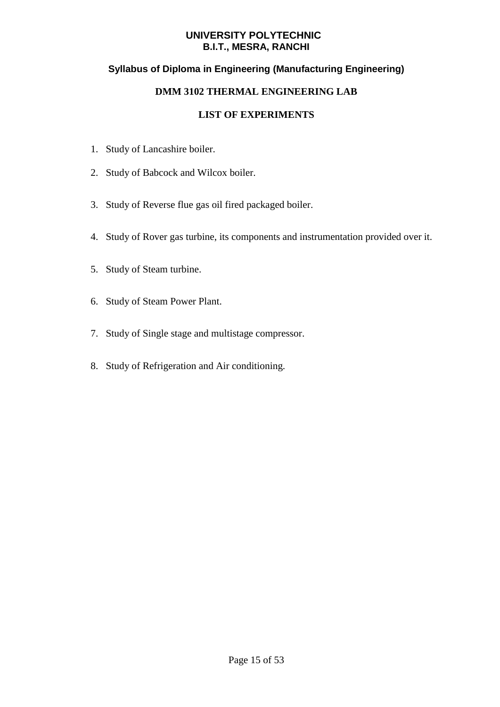# **Syllabus of Diploma in Engineering (Manufacturing Engineering)**

### **DMM 3102 THERMAL ENGINEERING LAB**

- 1. Study of Lancashire boiler.
- 2. Study of Babcock and Wilcox boiler.
- 3. Study of Reverse flue gas oil fired packaged boiler.
- 4. Study of Rover gas turbine, its components and instrumentation provided over it.
- 5. Study of Steam turbine.
- 6. Study of Steam Power Plant.
- 7. Study of Single stage and multistage compressor.
- 8. Study of Refrigeration and Air conditioning.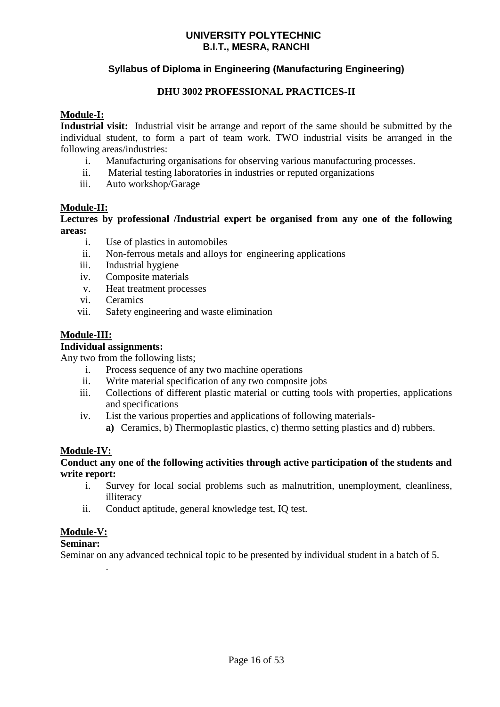# **Syllabus of Diploma in Engineering (Manufacturing Engineering)**

### **DHU 3002 PROFESSIONAL PRACTICES-II**

### **Module-I:**

**Industrial visit:** Industrial visit be arrange and report of the same should be submitted by the individual student, to form a part of team work. TWO industrial visits be arranged in the following areas/industries:

- i. Manufacturing organisations for observing various manufacturing processes.
- ii. Material testing laboratories in industries or reputed organizations
- iii. Auto workshop/Garage

### **Module-II:**

**Lectures by professional /Industrial expert be organised from any one of the following areas:**

- i. Use of plastics in automobiles
- ii. Non-ferrous metals and alloys for engineering applications
- iii. Industrial hygiene
- iv. Composite materials
- v. Heat treatment processes
- vi. Ceramics
- vii. Safety engineering and waste elimination

### **Module-III:**

### **Individual assignments:**

Any two from the following lists;

- i. Process sequence of any two machine operations
- ii. Write material specification of any two composite jobs
- iii. Collections of different plastic material or cutting tools with properties, applications and specifications
- iv. List the various properties and applications of following materials
	- **a)** Ceramics, b) Thermoplastic plastics, c) thermo setting plastics and d) rubbers.

### **Module-IV:**

### **Conduct any one of the following activities through active participation of the students and write report:**

- i. Survey for local social problems such as malnutrition, unemployment, cleanliness, illiteracy
- ii. Conduct aptitude, general knowledge test, IQ test.

### **Module-V:**

### **Seminar:**

.

Seminar on any advanced technical topic to be presented by individual student in a batch of 5.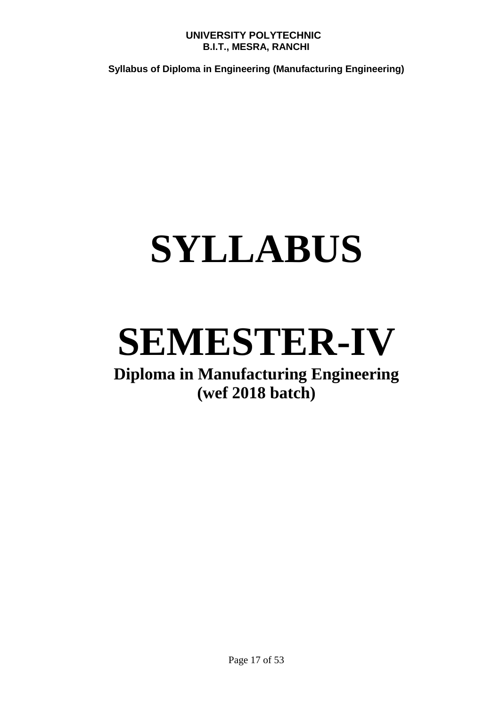**Syllabus of Diploma in Engineering (Manufacturing Engineering)**

# **SYLLABUS**

# **SEMESTER-IV**

# **Diploma in Manufacturing Engineering (wef 2018 batch)**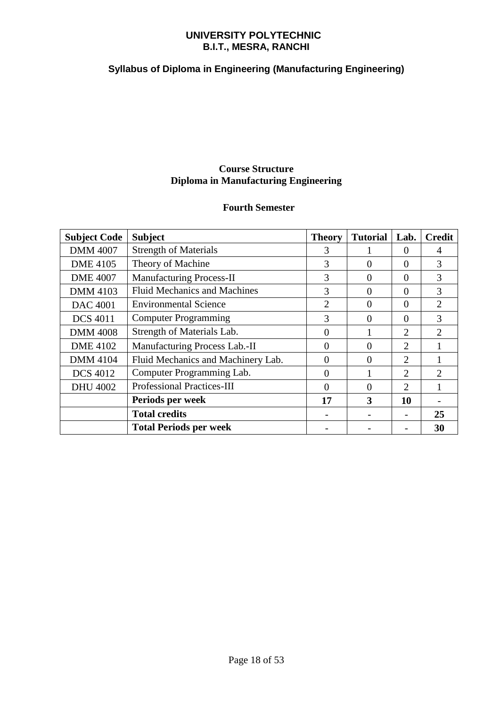# **Syllabus of Diploma in Engineering (Manufacturing Engineering)**

# **Course Structure Diploma in Manufacturing Engineering**

# **Fourth Semester**

| <b>Subject Code</b> | <b>Subject</b>                      | <b>Theory</b>  | <b>Tutorial</b> | Lab.      | <b>Credit</b>               |
|---------------------|-------------------------------------|----------------|-----------------|-----------|-----------------------------|
| <b>DMM 4007</b>     | <b>Strength of Materials</b>        | 3              |                 | 0         | 4                           |
| <b>DME</b> 4105     | Theory of Machine                   | 3              | 0               | 0         | 3                           |
| <b>DME 4007</b>     | <b>Manufacturing Process-II</b>     | 3              | $\Omega$        | 0         | 3                           |
| <b>DMM 4103</b>     | <b>Fluid Mechanics and Machines</b> | 3              | $\Omega$        | 0         | 3                           |
| <b>DAC</b> 4001     | <b>Environmental Science</b>        | $\overline{2}$ | 0               | 0         | $\overline{2}$              |
| <b>DCS 4011</b>     | <b>Computer Programming</b>         | 3              | $\Omega$        | 0         | 3                           |
| <b>DMM 4008</b>     | Strength of Materials Lab.          | $\Omega$       |                 | 2         | $\mathfrak{D}$              |
| <b>DME 4102</b>     | Manufacturing Process Lab.-II       | $\Omega$       | $\Omega$        | 2         |                             |
| <b>DMM 4104</b>     | Fluid Mechanics and Machinery Lab.  | $\Omega$       | $\theta$        | 2         |                             |
| <b>DCS</b> 4012     | Computer Programming Lab.           | 0              |                 | 2         | $\mathcal{D}_{\mathcal{A}}$ |
| <b>DHU 4002</b>     | <b>Professional Practices-III</b>   | $\Omega$       | $\theta$        | 2         |                             |
|                     | Periods per week                    | 17             | 3               | <b>10</b> |                             |
|                     | <b>Total credits</b>                |                |                 |           | 25                          |
|                     | <b>Total Periods per week</b>       |                |                 |           | 30                          |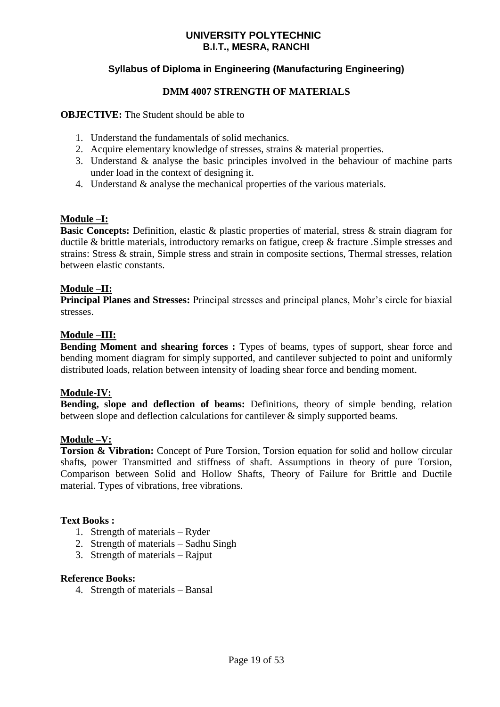# **Syllabus of Diploma in Engineering (Manufacturing Engineering)**

### **DMM 4007 STRENGTH OF MATERIALS**

### **OBJECTIVE:** The Student should be able to

- 1. Understand the fundamentals of solid mechanics.
- 2. Acquire elementary knowledge of stresses, strains & material properties.
- 3. Understand & analyse the basic principles involved in the behaviour of machine parts under load in the context of designing it.
- 4. Understand & analyse the mechanical properties of the various materials.

### **Module –I:**

**Basic Concepts:** Definition, elastic & plastic properties of material, stress & strain diagram for ductile & brittle materials, introductory remarks on fatigue, creep & fracture .Simple stresses and strains: Stress & strain, Simple stress and strain in composite sections, Thermal stresses, relation between elastic constants.

### **Module –II:**

**Principal Planes and Stresses:** Principal stresses and principal planes, Mohr's circle for biaxial stresses.

### **Module –III:**

**Bending Moment and shearing forces :** Types of beams, types of support, shear force and bending moment diagram for simply supported, and cantilever subjected to point and uniformly distributed loads, relation between intensity of loading shear force and bending moment.

### **Module-IV:**

**Bending, slope and deflection of beams:** Definitions, theory of simple bending, relation between slope and deflection calculations for cantilever & simply supported beams.

### **Module –V:**

**Torsion & Vibration:** Concept of Pure Torsion, Torsion equation for solid and hollow circular shaft**s**, power Transmitted and stiffness of shaft. Assumptions in theory of pure Torsion, Comparison between Solid and Hollow Shafts, Theory of Failure for Brittle and Ductile material. Types of vibrations, free vibrations.

### **Text Books :**

- 1. Strength of materials Ryder
- 2. Strength of materials Sadhu Singh
- 3. Strength of materials Rajput

### **Reference Books:**

4. Strength of materials – Bansal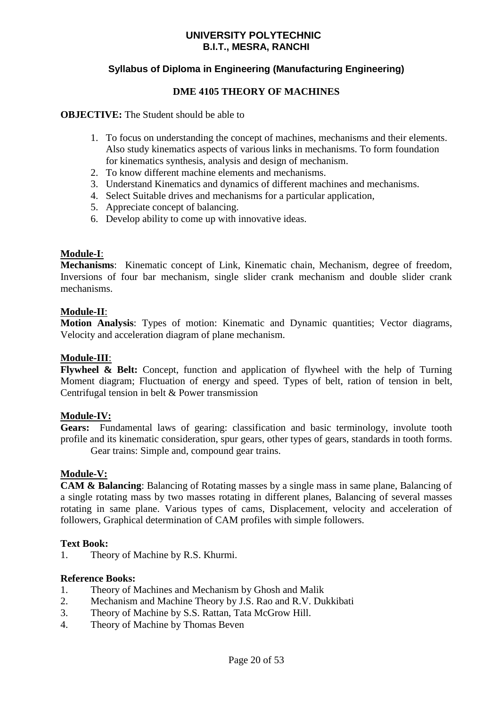# **Syllabus of Diploma in Engineering (Manufacturing Engineering)**

### **DME 4105 THEORY OF MACHINES**

### **OBJECTIVE:** The Student should be able to

- 1. To focus on understanding the concept of machines, mechanisms and their elements. Also study kinematics aspects of various links in mechanisms. To form foundation for kinematics synthesis, analysis and design of mechanism.
- 2. To know different machine elements and mechanisms.
- 3. Understand Kinematics and dynamics of different machines and mechanisms.
- 4. Select Suitable drives and mechanisms for a particular application,
- 5. Appreciate concept of balancing.
- 6. Develop ability to come up with innovative ideas.

### **Module-I**:

**Mechanisms**: Kinematic concept of Link, Kinematic chain, Mechanism, degree of freedom, Inversions of four bar mechanism, single slider crank mechanism and double slider crank mechanisms.

### **Module-II**:

**Motion Analysis**: Types of motion: Kinematic and Dynamic quantities; Vector diagrams, Velocity and acceleration diagram of plane mechanism.

### **Module-III**:

**Flywheel & Belt:** Concept, function and application of flywheel with the help of Turning Moment diagram; Fluctuation of energy and speed. Types of belt, ration of tension in belt, Centrifugal tension in belt & Power transmission

### **Module-IV:**

**Gears:** Fundamental laws of gearing: classification and basic terminology, involute tooth profile and its kinematic consideration, spur gears, other types of gears, standards in tooth forms. Gear trains: Simple and, compound gear trains.

### **Module-V:**

**CAM & Balancing**: Balancing of Rotating masses by a single mass in same plane, Balancing of a single rotating mass by two masses rotating in different planes, Balancing of several masses rotating in same plane. Various types of cams, Displacement, velocity and acceleration of followers, Graphical determination of CAM profiles with simple followers.

### **Text Book:**

1. Theory of Machine by R.S. Khurmi.

### **Reference Books:**

- 1. Theory of Machines and Mechanism by Ghosh and Malik
- 2. Mechanism and Machine Theory by J.S. Rao and R.V. Dukkibati
- 3. Theory of Machine by S.S. Rattan, Tata McGrow Hill.
- 4. Theory of Machine by Thomas Beven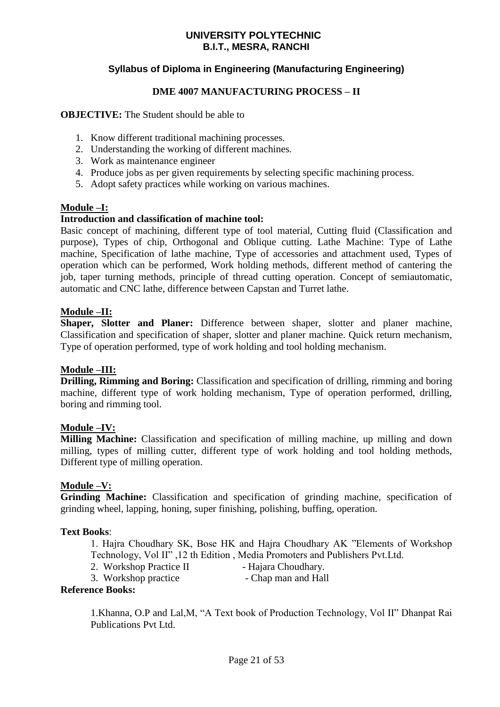# **Syllabus of Diploma in Engineering (Manufacturing Engineering)**

### **DME 4007 MANUFACTURING PROCESS – II**

### **OBJECTIVE:** The Student should be able to

- 1. Know different traditional machining processes.
- 2. Understanding the working of different machines.
- 3. Work as maintenance engineer
- 4. Produce jobs as per given requirements by selecting specific machining process.
- 5. Adopt safety practices while working on various machines.

### **Module –I:**

### **Introduction and classification of machine tool:**

Basic concept of machining, different type of tool material, Cutting fluid (Classification and purpose), Types of chip, Orthogonal and Oblique cutting. Lathe Machine: Type of Lathe machine, Specification of lathe machine, Type of accessories and attachment used, Types of operation which can be performed, Work holding methods, different method of cantering the job, taper turning methods, principle of thread cutting operation. Concept of semiautomatic, automatic and CNC lathe, difference between Capstan and Turret lathe.

## **Module –II:**

**Shaper, Slotter and Planer:** Difference between shaper, slotter and planer machine, Classification and specification of shaper, slotter and planer machine. Quick return mechanism, Type of operation performed, type of work holding and tool holding mechanism.

### **Module –III:**

**Drilling, Rimming and Boring:** Classification and specification of drilling, rimming and boring machine, different type of work holding mechanism, Type of operation performed, drilling, boring and rimming tool.

### **Module –IV:**

**Milling Machine:** Classification and specification of milling machine, up milling and down milling, types of milling cutter, different type of work holding and tool holding methods, Different type of milling operation.

### **Module –V:**

**Grinding Machine:** Classification and specification of grinding machine, specification of grinding wheel, lapping, honing, super finishing, polishing, buffing, operation.

### **Text Books**:

1. Hajra Choudhary SK, Bose HK and Hajra Choudhary AK "Elements of Workshop Technology, Vol II" ,12 th Edition , Media Promoters and Publishers Pvt.Ltd.

- 2. Workshop Practice II Hajara Choudhary.
- 3. Workshop practice Chap man and Hall

### **Reference Books:**

1.Khanna, O.P and Lal,M, "A Text book of Production Technology, Vol II" Dhanpat Rai Publications Pvt Ltd.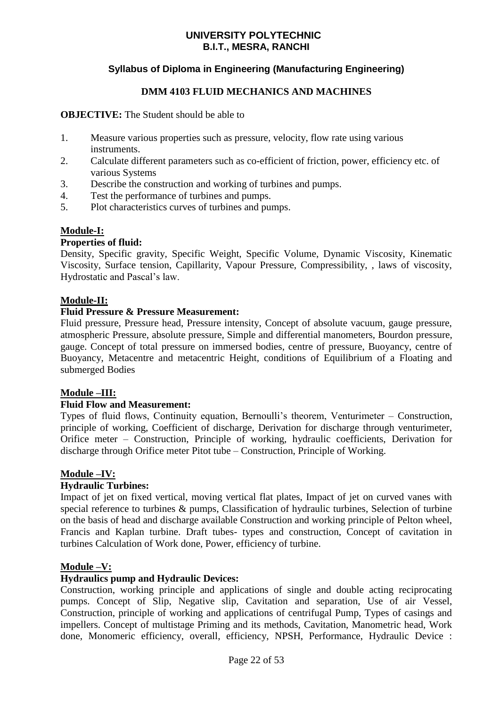# **Syllabus of Diploma in Engineering (Manufacturing Engineering)**

### **DMM 4103 FLUID MECHANICS AND MACHINES**

### **OBJECTIVE:** The Student should be able to

- 1. Measure various properties such as pressure, velocity, flow rate using various instruments.
- 2. Calculate different parameters such as co-efficient of friction, power, efficiency etc. of various Systems
- 3. Describe the construction and working of turbines and pumps.
- 4. Test the performance of turbines and pumps.
- 5. Plot characteristics curves of turbines and pumps.

### **Module-I:**

### **Properties of fluid:**

Density, Specific gravity, Specific Weight, Specific Volume, Dynamic Viscosity, Kinematic Viscosity, Surface tension, Capillarity, Vapour Pressure, Compressibility, , laws of viscosity, Hydrostatic and Pascal's law.

### **Module-II:**

### **Fluid Pressure & Pressure Measurement:**

Fluid pressure, Pressure head, Pressure intensity, Concept of absolute vacuum, gauge pressure, atmospheric Pressure, absolute pressure, Simple and differential manometers, Bourdon pressure, gauge. Concept of total pressure on immersed bodies, centre of pressure, Buoyancy, centre of Buoyancy, Metacentre and metacentric Height, conditions of Equilibrium of a Floating and submerged Bodies

### **Module –III:**

### **Fluid Flow and Measurement:**

Types of fluid flows, Continuity equation, Bernoulli's theorem, Venturimeter – Construction, principle of working, Coefficient of discharge, Derivation for discharge through venturimeter, Orifice meter – Construction, Principle of working, hydraulic coefficients, Derivation for discharge through Orifice meter Pitot tube – Construction, Principle of Working.

### **Module –IV:**

### **Hydraulic Turbines:**

Impact of jet on fixed vertical, moving vertical flat plates, Impact of jet on curved vanes with special reference to turbines & pumps, Classification of hydraulic turbines, Selection of turbine on the basis of head and discharge available Construction and working principle of Pelton wheel, Francis and Kaplan turbine. Draft tubes- types and construction, Concept of cavitation in turbines Calculation of Work done, Power, efficiency of turbine.

### **Module –V:**

### **Hydraulics pump and Hydraulic Devices:**

Construction, working principle and applications of single and double acting reciprocating pumps. Concept of Slip, Negative slip, Cavitation and separation, Use of air Vessel, Construction, principle of working and applications of centrifugal Pump, Types of casings and impellers. Concept of multistage Priming and its methods, Cavitation, Manometric head, Work done, Monomeric efficiency, overall, efficiency, NPSH, Performance, Hydraulic Device :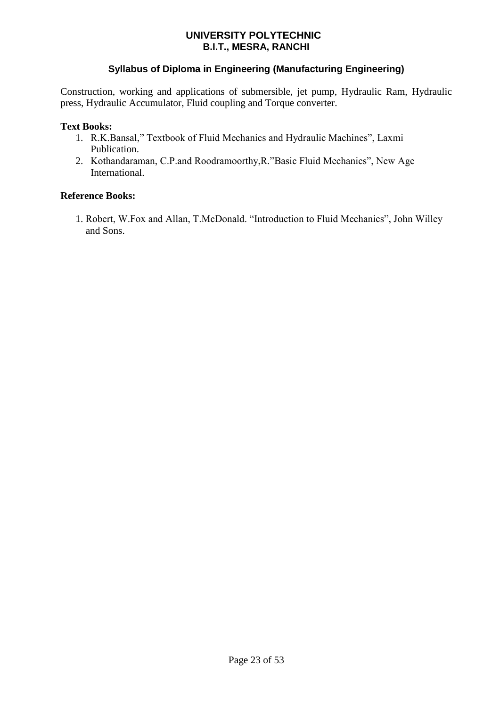# **Syllabus of Diploma in Engineering (Manufacturing Engineering)**

Construction, working and applications of submersible, jet pump, Hydraulic Ram, Hydraulic press, Hydraulic Accumulator, Fluid coupling and Torque converter.

### **Text Books:**

- 1. R.K.Bansal," Textbook of Fluid Mechanics and Hydraulic Machines", Laxmi Publication.
- 2. Kothandaraman, C.P.and Roodramoorthy,R."Basic Fluid Mechanics", New Age **International**

### **Reference Books:**

 1. Robert, W.Fox and Allan, T.McDonald. "Introduction to Fluid Mechanics", John Willey and Sons.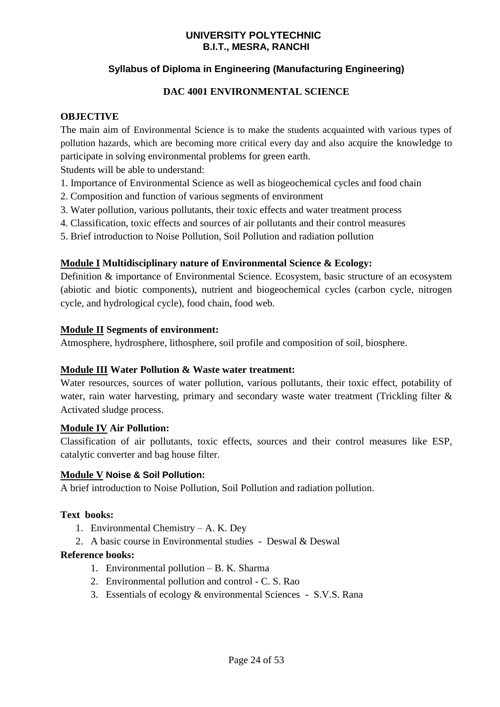# **Syllabus of Diploma in Engineering (Manufacturing Engineering)**

# **DAC 4001 ENVIRONMENTAL SCIENCE**

# **OBJECTIVE**

The main aim of Environmental Science is to make the students acquainted with various types of pollution hazards, which are becoming more critical every day and also acquire the knowledge to participate in solving environmental problems for green earth.

Students will be able to understand:

- 1. Importance of Environmental Science as well as biogeochemical cycles and food chain
- 2. Composition and function of various segments of environment
- 3. Water pollution, various pollutants, their toxic effects and water treatment process
- 4. Classification, toxic effects and sources of air pollutants and their control measures
- 5. Brief introduction to Noise Pollution, Soil Pollution and radiation pollution

# **Module I Multidisciplinary nature of Environmental Science & Ecology:**

Definition & importance of Environmental Science. Ecosystem, basic structure of an ecosystem (abiotic and biotic components), nutrient and biogeochemical cycles (carbon cycle, nitrogen cycle, and hydrological cycle), food chain, food web.

# **Module II Segments of environment:**

Atmosphere, hydrosphere, lithosphere, soil profile and composition of soil, biosphere.

### **Module III Water Pollution & Waste water treatment:**

Water resources, sources of water pollution, various pollutants, their toxic effect, potability of water, rain water harvesting, primary and secondary waste water treatment (Trickling filter & Activated sludge process.

### **Module IV Air Pollution:**

Classification of air pollutants, toxic effects, sources and their control measures like ESP, catalytic converter and bag house filter.

### **Module V Noise & Soil Pollution:**

A brief introduction to Noise Pollution, Soil Pollution and radiation pollution.

### **Text books:**

- 1. Environmental Chemistry A. K. Dey
- 2. A basic course in Environmental studies Deswal & Deswal

### **Reference books:**

- 1. Environmental pollution B. K. Sharma
- 2. Environmental pollution and control C. S. Rao
- 3. Essentials of ecology & environmental Sciences S.V.S. Rana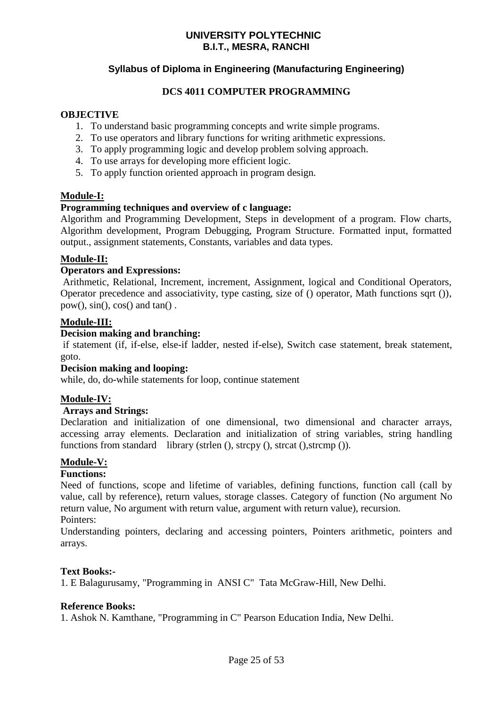# **Syllabus of Diploma in Engineering (Manufacturing Engineering)**

### **DCS 4011 COMPUTER PROGRAMMING**

### **OBJECTIVE**

- 1. To understand basic programming concepts and write simple programs.
- 2. To use operators and library functions for writing arithmetic expressions.
- 3. To apply programming logic and develop problem solving approach.
- 4. To use arrays for developing more efficient logic.
- 5. To apply function oriented approach in program design.

### **Module-I:**

### **Programming techniques and overview of c language:**

Algorithm and Programming Development, Steps in development of a program. Flow charts, Algorithm development, Program Debugging, Program Structure. Formatted input, formatted output., assignment statements, Constants, variables and data types.

### **Module-II:**

### **Operators and Expressions:**

Arithmetic, Relational, Increment, increment, Assignment, logical and Conditional Operators, Operator precedence and associativity, type casting, size of () operator, Math functions sqrt ()),  $pow()$ ,  $sin()$ ,  $cos()$  and  $tan()$ .

### **Module-III:**

### **Decision making and branching:**

if statement (if, if-else, else-if ladder, nested if-else), Switch case statement, break statement, goto.

### **Decision making and looping:**

while, do, do-while statements for loop, continue statement

### **Module-IV:**

### **Arrays and Strings:**

Declaration and initialization of one dimensional, two dimensional and character arrays, accessing array elements. Declaration and initialization of string variables, string handling functions from standard library (strlen (), strcpy (), strcat (), strcmp ()).

### **Module-V:**

### **Functions:**

Need of functions, scope and lifetime of variables, defining functions, function call (call by value, call by reference), return values, storage classes. Category of function (No argument No return value, No argument with return value, argument with return value), recursion. Pointers:

Understanding pointers, declaring and accessing pointers, Pointers arithmetic, pointers and arrays.

### **Text Books:-**

1. E Balagurusamy, "Programming in ANSI C" Tata McGraw-Hill, New Delhi.

### **Reference Books:**

1. Ashok N. Kamthane, "Programming in C" Pearson Education India, New Delhi.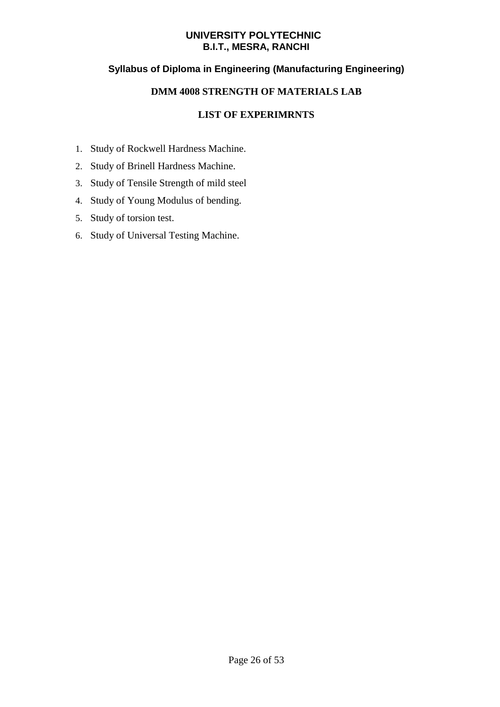# **Syllabus of Diploma in Engineering (Manufacturing Engineering)**

# **DMM 4008 STRENGTH OF MATERIALS LAB**

- 1. Study of Rockwell Hardness Machine.
- 2. Study of Brinell Hardness Machine.
- 3. Study of Tensile Strength of mild steel
- 4. Study of Young Modulus of bending.
- 5. Study of torsion test.
- 6. Study of Universal Testing Machine.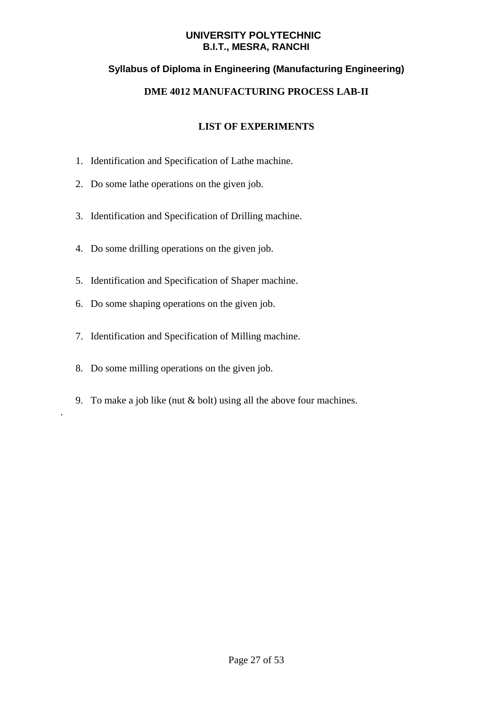# **Syllabus of Diploma in Engineering (Manufacturing Engineering)**

# **DME 4012 MANUFACTURING PROCESS LAB-II**

# **LIST OF EXPERIMENTS**

- 1. Identification and Specification of Lathe machine.
- 2. Do some lathe operations on the given job.
- 3. Identification and Specification of Drilling machine.
- 4. Do some drilling operations on the given job.
- 5. Identification and Specification of Shaper machine.
- 6. Do some shaping operations on the given job.
- 7. Identification and Specification of Milling machine.
- 8. Do some milling operations on the given job.

.

9. To make a job like (nut & bolt) using all the above four machines.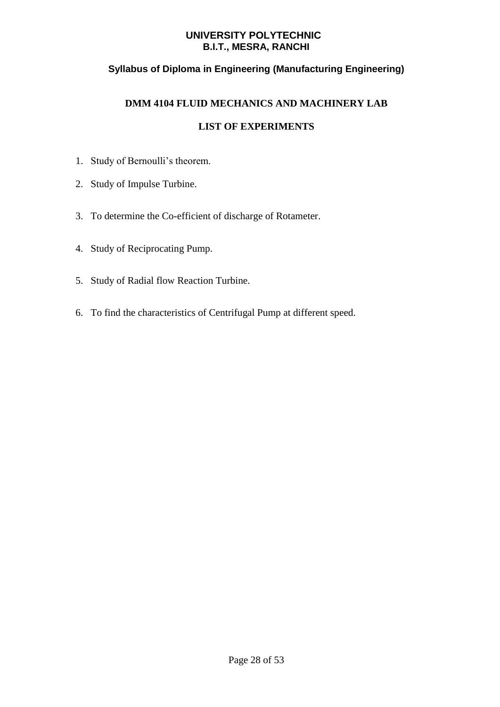# **Syllabus of Diploma in Engineering (Manufacturing Engineering)**

# **DMM 4104 FLUID MECHANICS AND MACHINERY LAB**

- 1. Study of Bernoulli's theorem.
- 2. Study of Impulse Turbine.
- 3. To determine the Co-efficient of discharge of Rotameter.
- 4. Study of Reciprocating Pump.
- 5. Study of Radial flow Reaction Turbine.
- 6. To find the characteristics of Centrifugal Pump at different speed.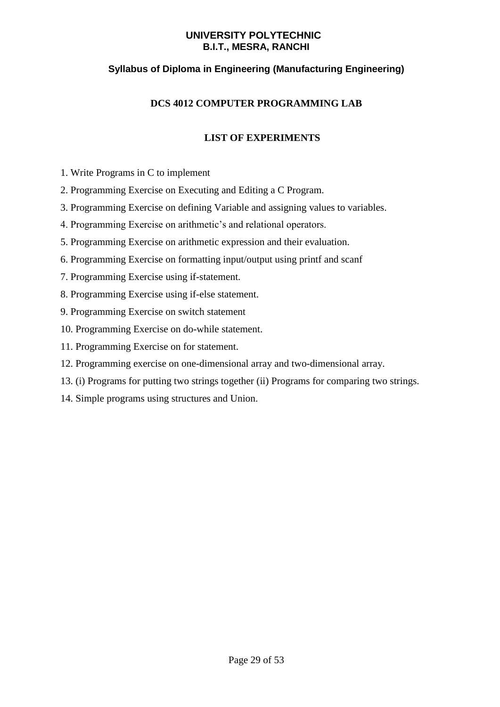# **Syllabus of Diploma in Engineering (Manufacturing Engineering)**

# **DCS 4012 COMPUTER PROGRAMMING LAB**

- 1. Write Programs in C to implement
- 2. Programming Exercise on Executing and Editing a C Program.
- 3. Programming Exercise on defining Variable and assigning values to variables.
- 4. Programming Exercise on arithmetic's and relational operators.
- 5. Programming Exercise on arithmetic expression and their evaluation.
- 6. Programming Exercise on formatting input/output using printf and scanf
- 7. Programming Exercise using if-statement.
- 8. Programming Exercise using if-else statement.
- 9. Programming Exercise on switch statement
- 10. Programming Exercise on do-while statement.
- 11. Programming Exercise on for statement.
- 12. Programming exercise on one-dimensional array and two-dimensional array.
- 13. (i) Programs for putting two strings together (ii) Programs for comparing two strings.
- 14. Simple programs using structures and Union.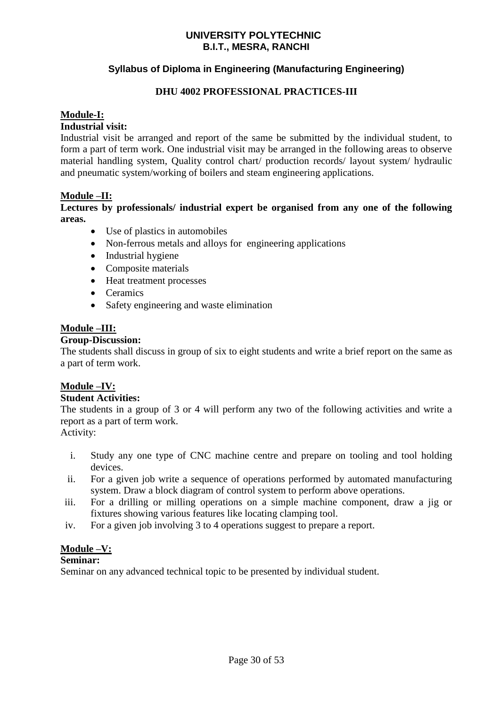# **Syllabus of Diploma in Engineering (Manufacturing Engineering)**

### **DHU 4002 PROFESSIONAL PRACTICES-III**

### **Module-I:**

### **Industrial visit:**

Industrial visit be arranged and report of the same be submitted by the individual student, to form a part of term work. One industrial visit may be arranged in the following areas to observe material handling system, Quality control chart/ production records/ layout system/ hydraulic and pneumatic system/working of boilers and steam engineering applications.

### **Module –II:**

**Lectures by professionals/ industrial expert be organised from any one of the following areas.**

- Use of plastics in automobiles
- Non-ferrous metals and alloys for engineering applications
- Industrial hygiene
- Composite materials
- Heat treatment processes
- Ceramics
- Safety engineering and waste elimination

### **Module –III:**

### **Group-Discussion:**

The students shall discuss in group of six to eight students and write a brief report on the same as a part of term work.

### **Module –IV:**

### **Student Activities:**

The students in a group of 3 or 4 will perform any two of the following activities and write a report as a part of term work.

Activity:

- i. Study any one type of CNC machine centre and prepare on tooling and tool holding devices.
- ii. For a given job write a sequence of operations performed by automated manufacturing system. Draw a block diagram of control system to perform above operations.
- iii. For a drilling or milling operations on a simple machine component, draw a jig or fixtures showing various features like locating clamping tool.
- iv. For a given job involving 3 to 4 operations suggest to prepare a report.

### **Module –V:**

### **Seminar:**

Seminar on any advanced technical topic to be presented by individual student.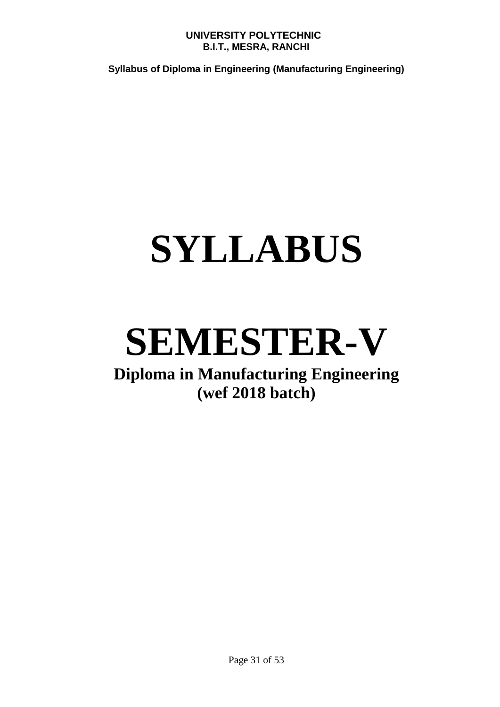**Syllabus of Diploma in Engineering (Manufacturing Engineering)**

# **SYLLABUS**

# **SEMESTER-V**

# **Diploma in Manufacturing Engineering (wef 2018 batch)**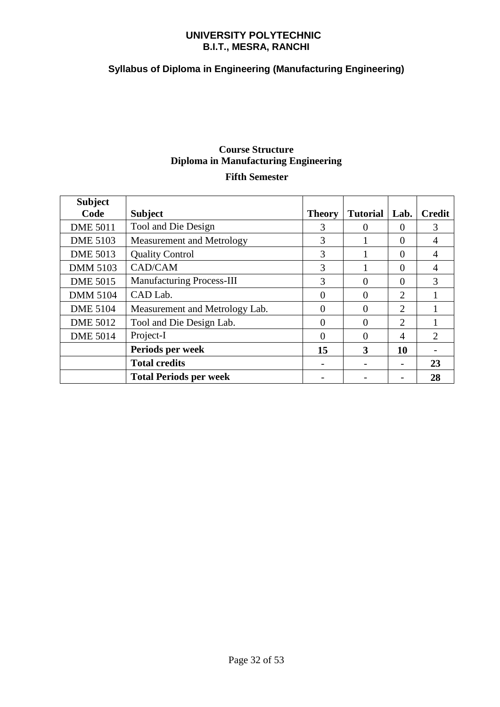# **Syllabus of Diploma in Engineering (Manufacturing Engineering)**

# **Course Structure Diploma in Manufacturing Engineering Fifth Semester**

| <b>Subject</b>  |                                  |               |                 |                |               |
|-----------------|----------------------------------|---------------|-----------------|----------------|---------------|
| Code            | <b>Subject</b>                   | <b>Theory</b> | <b>Tutorial</b> | Lab.           | <b>Credit</b> |
| <b>DME 5011</b> | Tool and Die Design              | 3             | 0               | $\Omega$       | 3             |
| <b>DME 5103</b> | Measurement and Metrology        | 3             |                 | $\Omega$       | 4             |
| <b>DME 5013</b> | <b>Quality Control</b>           | 3             |                 | $\Omega$       | 4             |
| <b>DMM 5103</b> | CAD/CAM                          | 3             |                 | $\Omega$       | 4             |
| <b>DME 5015</b> | <b>Manufacturing Process-III</b> | 3             | 0               | $\Omega$       | 3             |
| <b>DMM 5104</b> | CAD Lab.                         | 0             | 0               | $\overline{2}$ |               |
| <b>DME 5104</b> | Measurement and Metrology Lab.   | 0             | 0               | 2              |               |
| <b>DME 5012</b> | Tool and Die Design Lab.         | $\Omega$      | $\Omega$        | 2              |               |
| <b>DME 5014</b> | Project-I                        | 0             | 0               | 4              | 2             |
|                 | Periods per week                 | 15            | 3               | 10             |               |
|                 | <b>Total credits</b>             |               |                 |                | 23            |
|                 | <b>Total Periods per week</b>    |               |                 |                | 28            |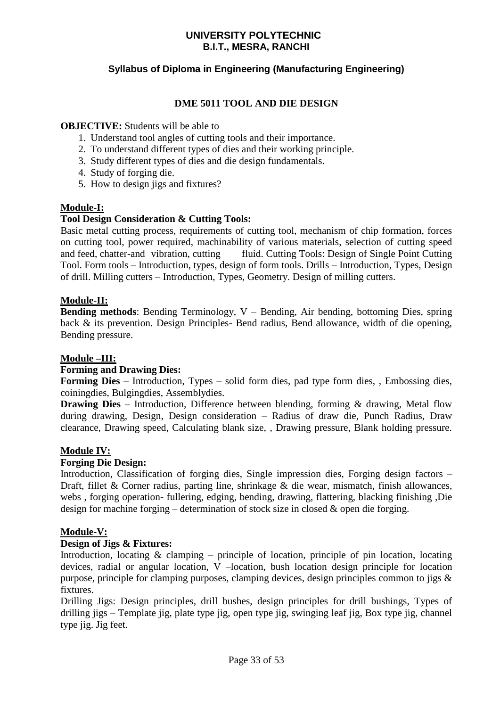# **Syllabus of Diploma in Engineering (Manufacturing Engineering)**

### **DME 5011 TOOL AND DIE DESIGN**

### **OBJECTIVE:** Students will be able to

- 1. Understand tool angles of cutting tools and their importance.
- 2. To understand different types of dies and their working principle.
- 3. Study different types of dies and die design fundamentals.
- 4. Study of forging die.
- 5. How to design jigs and fixtures?

### **Module-I:**

### **Tool Design Consideration & Cutting Tools:**

Basic metal cutting process, requirements of cutting tool, mechanism of chip formation, forces on cutting tool, power required, machinability of various materials, selection of cutting speed and feed, chatter-and vibration, cutting fluid. Cutting Tools: Design of Single Point Cutting Tool. Form tools – Introduction, types, design of form tools. Drills – Introduction, Types, Design of drill. Milling cutters – Introduction, Types, Geometry. Design of milling cutters.

### **Module-II:**

**Bending methods**: Bending Terminology, V – Bending, Air bending, bottoming Dies, spring back & its prevention. Design Principles- Bend radius, Bend allowance, width of die opening, Bending pressure.

### **Module –III:**

### **Forming and Drawing Dies:**

**Forming Dies** – Introduction, Types – solid form dies, pad type form dies, , Embossing dies, coiningdies, Bulgingdies, Assemblydies.

**Drawing Dies** – Introduction, Difference between blending, forming & drawing, Metal flow during drawing, Design, Design consideration – Radius of draw die, Punch Radius, Draw clearance, Drawing speed, Calculating blank size, , Drawing pressure, Blank holding pressure.

### **Module IV:**

### **Forging Die Design:**

Introduction, Classification of forging dies, Single impression dies, Forging design factors – Draft, fillet & Corner radius, parting line, shrinkage & die wear, mismatch, finish allowances, webs , forging operation- fullering, edging, bending, drawing, flattering, blacking finishing ,Die design for machine forging – determination of stock size in closed  $\&$  open die forging.

### **Module-V:**

### **Design of Jigs & Fixtures:**

Introduction, locating  $\&$  clamping – principle of location, principle of pin location, locating devices, radial or angular location, V –location, bush location design principle for location purpose, principle for clamping purposes, clamping devices, design principles common to jigs & fixtures.

Drilling Jigs: Design principles, drill bushes, design principles for drill bushings, Types of drilling jigs – Template jig, plate type jig, open type jig, swinging leaf jig, Box type jig, channel type jig. Jig feet.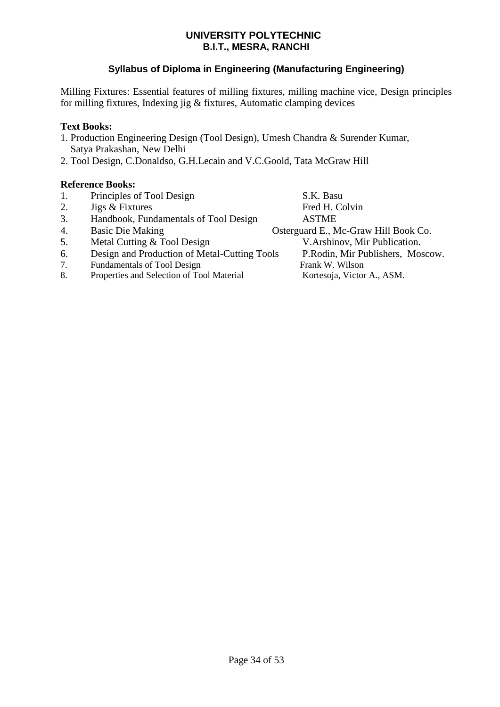# **Syllabus of Diploma in Engineering (Manufacturing Engineering)**

Milling Fixtures: Essential features of milling fixtures, milling machine vice, Design principles for milling fixtures, Indexing jig & fixtures, Automatic clamping devices

# **Text Books:**

- 1. Production Engineering Design (Tool Design), Umesh Chandra & Surender Kumar, Satya Prakashan, New Delhi
- 2. Tool Design, C.Donaldso, G.H.Lecain and V.C.Goold, Tata McGraw Hill

# **Reference Books:**

| 1. | Principles of Tool Design                    | S.K. Basu                            |
|----|----------------------------------------------|--------------------------------------|
| 2. | Jigs & Fixtures                              | Fred H. Colvin                       |
| 3. | Handbook, Fundamentals of Tool Design        | <b>ASTME</b>                         |
| 4. | <b>Basic Die Making</b>                      | Osterguard E., Mc-Graw Hill Book Co. |
| 5. | Metal Cutting & Tool Design                  | V.Arshinov, Mir Publication.         |
| 6. | Design and Production of Metal-Cutting Tools | P.Rodin, Mir Publishers, Moscow.     |
| 7. | Fundamentals of Tool Design                  | Frank W. Wilson                      |
| 8. | Properties and Selection of Tool Material    | Kortesoja, Victor A., ASM.           |
|    |                                              |                                      |
|    |                                              |                                      |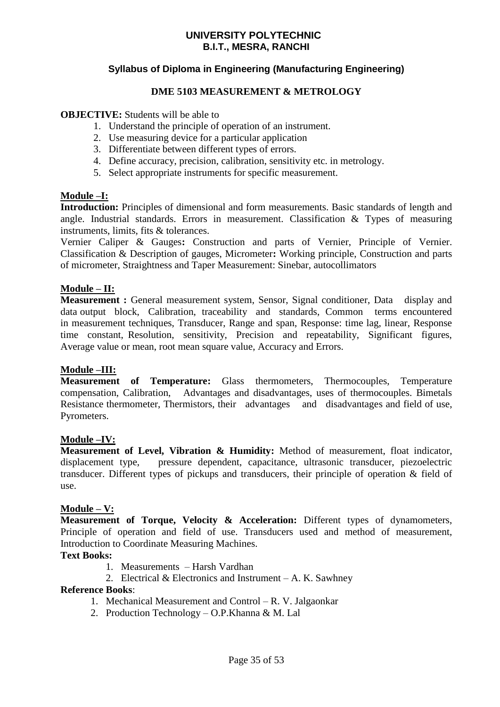# **Syllabus of Diploma in Engineering (Manufacturing Engineering)**

### **DME 5103 MEASUREMENT & METROLOGY**

### **OBJECTIVE:** Students will be able to

- 1. Understand the principle of operation of an instrument.
- 2. Use measuring device for a particular application
- 3. Differentiate between different types of errors.
- 4. Define accuracy, precision, calibration, sensitivity etc. in metrology.
- 5. Select appropriate instruments for specific measurement.

### **Module –I:**

**Introduction:** Principles of dimensional and form measurements. Basic standards of length and angle. Industrial standards. Errors in measurement. Classification & Types of measuring instruments, limits, fits & tolerances.

Vernier Caliper & Gauges**:** Construction and parts of Vernier, Principle of Vernier. Classification & Description of gauges, Micrometer**:** Working principle, Construction and parts of micrometer, Straightness and Taper Measurement: Sinebar, autocollimators

### **Module – II:**

**Measurement :** General measurement system, Sensor, Signal conditioner, Data display and data output block, Calibration, traceability and standards, Common terms encountered in measurement techniques, Transducer, Range and span, Response: time lag, linear, Response time constant, Resolution, sensitivity, Precision and repeatability, Significant figures, Average value or mean, root mean square value, Accuracy and Errors.

### **Module –III:**

**Measurement of Temperature:** Glass thermometers, Thermocouples, Temperature compensation, Calibration, Advantages and disadvantages, uses of thermocouples. Bimetals Resistance thermometer, Thermistors, their advantages and disadvantages and field of use, Pyrometers.

### **Module –IV:**

**Measurement of Level, Vibration & Humidity:** Method of measurement, float indicator, displacement type, pressure dependent, capacitance, ultrasonic transducer, piezoelectric transducer. Different types of pickups and transducers, their principle of operation & field of use.

### **Module – V:**

**Measurement of Torque, Velocity & Acceleration:** Different types of dynamometers, Principle of operation and field of use. Transducers used and method of measurement, Introduction to Coordinate Measuring Machines.

### **Text Books:**

- 1. Measurements Harsh Vardhan
- 2. Electrical  $&$  Electronics and Instrument A. K. Sawhney

### **Reference Books**:

- 1. Mechanical Measurement and Control R. V. Jalgaonkar
- 2. Production Technology O.P.Khanna & M. Lal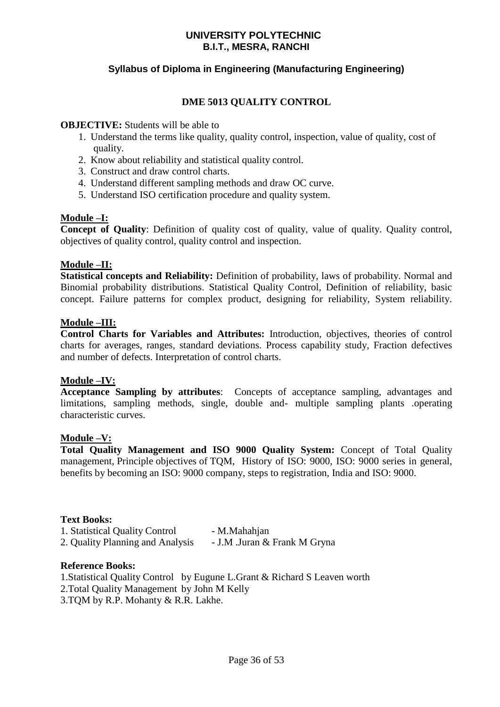# **Syllabus of Diploma in Engineering (Manufacturing Engineering)**

# **DME 5013 QUALITY CONTROL**

### **OBJECTIVE:** Students will be able to

- 1. Understand the terms like quality, quality control, inspection, value of quality, cost of quality.
- 2. Know about reliability and statistical quality control.
- 3. Construct and draw control charts.
- 4. Understand different sampling methods and draw OC curve.
- 5. Understand ISO certification procedure and quality system.

# **Module –I:**

**Concept of Quality**: Definition of quality cost of quality, value of quality. Quality control, objectives of quality control, quality control and inspection.

### **Module –II:**

**Statistical concepts and Reliability:** Definition of probability, laws of probability. Normal and Binomial probability distributions. Statistical Quality Control, Definition of reliability, basic concept. Failure patterns for complex product, designing for reliability, System reliability.

### **Module –III:**

**Control Charts for Variables and Attributes:** Introduction, objectives, theories of control charts for averages, ranges, standard deviations. Process capability study, Fraction defectives and number of defects. Interpretation of control charts.

### **Module –IV:**

**Acceptance Sampling by attributes**: Concepts of acceptance sampling, advantages and limitations, sampling methods, single, double and- multiple sampling plants .operating characteristic curves.

### **Module –V:**

**Total Quality Management and ISO 9000 Quality System:** Concept of Total Quality management, Principle objectives of TQM, History of ISO: 9000, ISO: 9000 series in general, benefits by becoming an ISO: 9000 company, steps to registration, India and ISO: 9000.

### **Text Books:**

| 1. Statistical Quality Control   | - M.Mahahjan                 |
|----------------------------------|------------------------------|
| 2. Quality Planning and Analysis | - J.M .Juran & Frank M Gryna |

### **Reference Books:**

1.Statistical Quality Control by Eugune L.Grant & Richard S Leaven worth 2.Total Quality Management by John M Kelly 3.TQM by R.P. Mohanty & R.R. Lakhe.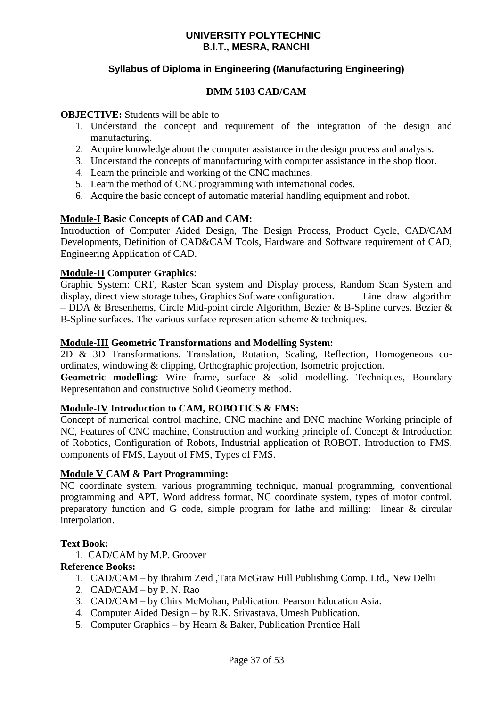# **Syllabus of Diploma in Engineering (Manufacturing Engineering)**

### **DMM 5103 CAD/CAM**

### **OBJECTIVE:** Students will be able to

- 1. Understand the concept and requirement of the integration of the design and manufacturing.
- 2. Acquire knowledge about the computer assistance in the design process and analysis.
- 3. Understand the concepts of manufacturing with computer assistance in the shop floor.
- 4. Learn the principle and working of the CNC machines.
- 5. Learn the method of CNC programming with international codes.
- 6. Acquire the basic concept of automatic material handling equipment and robot.

### **Module-I Basic Concepts of CAD and CAM:**

Introduction of Computer Aided Design, The Design Process, Product Cycle, CAD/CAM Developments, Definition of CAD&CAM Tools, Hardware and Software requirement of CAD, Engineering Application of CAD.

### **Module-II Computer Graphics**:

Graphic System: CRT, Raster Scan system and Display process, Random Scan System and display, direct view storage tubes, Graphics Software configuration. Line draw algorithm – DDA & Bresenhems, Circle Mid-point circle Algorithm, Bezier & B-Spline curves. Bezier & B-Spline surfaces. The various surface representation scheme & techniques.

### **Module-III Geometric Transformations and Modelling System:**

2D & 3D Transformations. Translation, Rotation, Scaling, Reflection, Homogeneous coordinates, windowing & clipping, Orthographic projection, Isometric projection.

Geometric modelling: Wire frame, surface & solid modelling. Techniques, Boundary Representation and constructive Solid Geometry method.

### **Module-IV Introduction to CAM, ROBOTICS & FMS:**

Concept of numerical control machine, CNC machine and DNC machine Working principle of NC, Features of CNC machine, Construction and working principle of. Concept & Introduction of Robotics, Configuration of Robots, Industrial application of ROBOT. Introduction to FMS, components of FMS, Layout of FMS, Types of FMS.

### **Module V CAM & Part Programming:**

NC coordinate system, various programming technique, manual programming, conventional programming and APT, Word address format, NC coordinate system, types of motor control, preparatory function and G code, simple program for lathe and milling: linear & circular interpolation.

### **Text Book:**

1. CAD/CAM by M.P. Groover

### **Reference Books:**

- 1. CAD/CAM by Ibrahim Zeid ,Tata McGraw Hill Publishing Comp. Ltd., New Delhi
- 2. CAD/CAM by P. N. Rao
- 3. CAD/CAM by Chirs McMohan, Publication: Pearson Education Asia.
- 4. Computer Aided Design by R.K. Srivastava, Umesh Publication.
- 5. Computer Graphics by Hearn & Baker, Publication Prentice Hall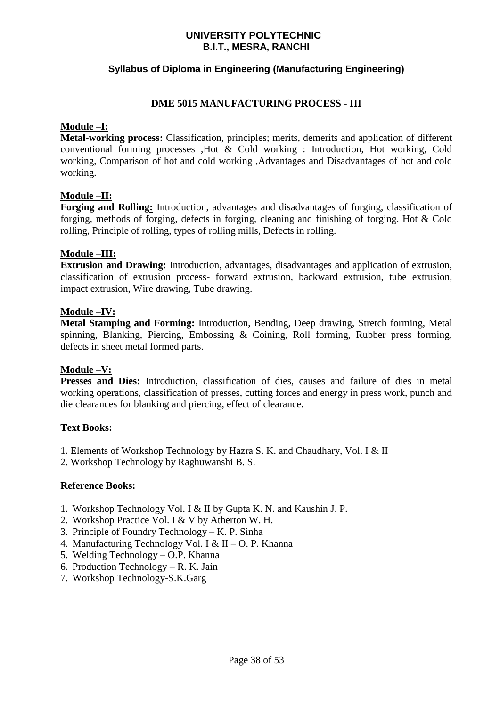# **Syllabus of Diploma in Engineering (Manufacturing Engineering)**

### **DME 5015 MANUFACTURING PROCESS - III**

### **Module –I:**

**Metal-working process:** Classification, principles; merits, demerits and application of different conventional forming processes ,Hot & Cold working : Introduction, Hot working, Cold working, Comparison of hot and cold working ,Advantages and Disadvantages of hot and cold working.

### **Module –II:**

**Forging and Rolling:** Introduction, advantages and disadvantages of forging, classification of forging, methods of forging, defects in forging, cleaning and finishing of forging. Hot & Cold rolling, Principle of rolling, types of rolling mills, Defects in rolling.

### **Module –III:**

**Extrusion and Drawing:** Introduction, advantages, disadvantages and application of extrusion, classification of extrusion process- forward extrusion, backward extrusion, tube extrusion, impact extrusion, Wire drawing, Tube drawing.

### **Module –IV:**

**Metal Stamping and Forming:** Introduction, Bending, Deep drawing, Stretch forming, Metal spinning, Blanking, Piercing, Embossing & Coining, Roll forming, Rubber press forming, defects in sheet metal formed parts.

### **Module –V:**

Presses and Dies: Introduction, classification of dies, causes and failure of dies in metal working operations, classification of presses, cutting forces and energy in press work, punch and die clearances for blanking and piercing, effect of clearance.

### **Text Books:**

- 1. Elements of Workshop Technology by Hazra S. K. and Chaudhary, Vol. I & II
- 2. Workshop Technology by Raghuwanshi B. S.

### **Reference Books:**

- 1. Workshop Technology Vol. I & II by Gupta K. N. and Kaushin J. P.
- 2. Workshop Practice Vol. I & V by Atherton W. H.
- 3. Principle of Foundry Technology K. P. Sinha
- 4. Manufacturing Technology Vol. I & II O. P. Khanna
- 5. Welding Technology O.P. Khanna
- 6. Production Technology R. K. Jain
- 7. Workshop Technology-S.K.Garg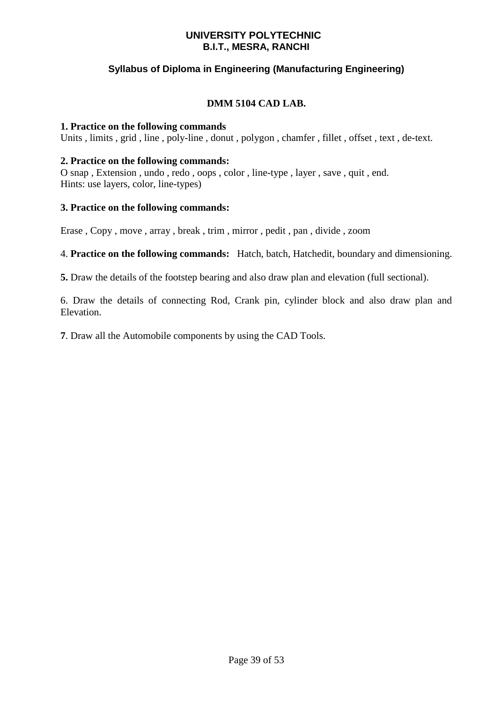# **Syllabus of Diploma in Engineering (Manufacturing Engineering)**

# **DMM 5104 CAD LAB.**

### **1. Practice on the following commands**

Units , limits , grid , line , poly-line , donut , polygon , chamfer , fillet , offset , text , de-text.

### **2. Practice on the following commands:**

O snap , Extension , undo , redo , oops , color , line-type , layer , save , quit , end. Hints: use layers, color, line-types)

### **3. Practice on the following commands:**

Erase , Copy , move , array , break , trim , mirror , pedit , pan , divide , zoom

4. **Practice on the following commands:** Hatch, batch, Hatchedit, boundary and dimensioning.

**5.** Draw the details of the footstep bearing and also draw plan and elevation (full sectional).

6. Draw the details of connecting Rod, Crank pin, cylinder block and also draw plan and Elevation.

**7**. Draw all the Automobile components by using the CAD Tools.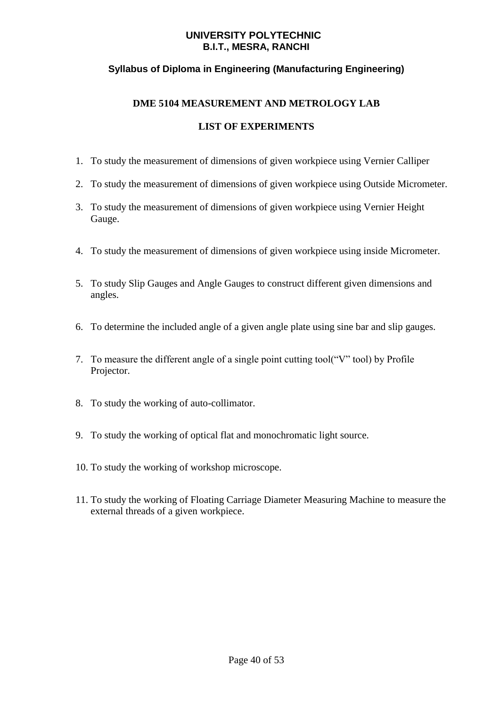# **Syllabus of Diploma in Engineering (Manufacturing Engineering)**

# **DME 5104 MEASUREMENT AND METROLOGY LAB**

- 1. To study the measurement of dimensions of given workpiece using Vernier Calliper
- 2. To study the measurement of dimensions of given workpiece using Outside Micrometer.
- 3. To study the measurement of dimensions of given workpiece using Vernier Height Gauge.
- 4. To study the measurement of dimensions of given workpiece using inside Micrometer.
- 5. To study Slip Gauges and Angle Gauges to construct different given dimensions and angles.
- 6. To determine the included angle of a given angle plate using sine bar and slip gauges.
- 7. To measure the different angle of a single point cutting tool("V" tool) by Profile Projector.
- 8. To study the working of auto-collimator.
- 9. To study the working of optical flat and monochromatic light source.
- 10. To study the working of workshop microscope.
- 11. To study the working of Floating Carriage Diameter Measuring Machine to measure the external threads of a given workpiece.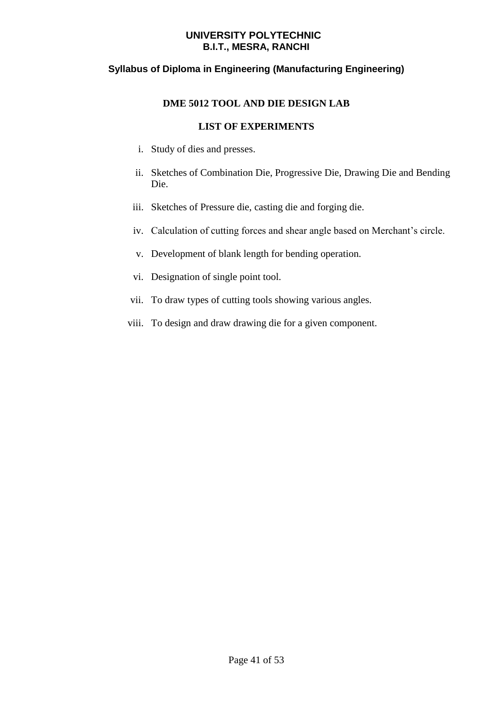# **Syllabus of Diploma in Engineering (Manufacturing Engineering)**

# **DME 5012 TOOL AND DIE DESIGN LAB**

- i. Study of dies and presses.
- ii. Sketches of Combination Die, Progressive Die, Drawing Die and Bending Die.
- iii. Sketches of Pressure die, casting die and forging die.
- iv. Calculation of cutting forces and shear angle based on Merchant's circle.
- v. Development of blank length for bending operation.
- vi. Designation of single point tool.
- vii. To draw types of cutting tools showing various angles.
- viii. To design and draw drawing die for a given component.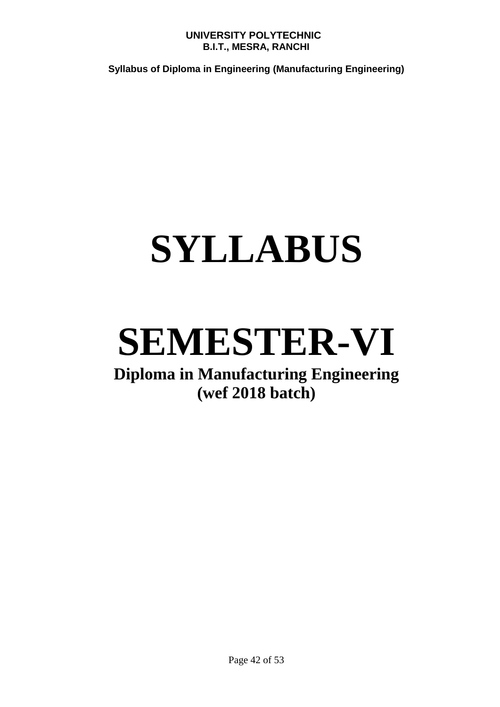**Syllabus of Diploma in Engineering (Manufacturing Engineering)**

# **SYLLABUS**

# **SEMESTER-VI**

# **Diploma in Manufacturing Engineering (wef 2018 batch)**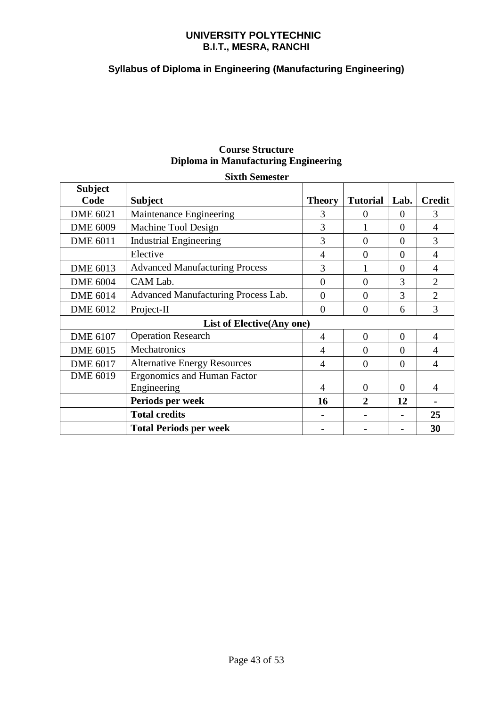# **Syllabus of Diploma in Engineering (Manufacturing Engineering)**

# **Course Structure Diploma in Manufacturing Engineering**

### **Sixth Semester**

| <b>Subject</b><br>Code           | <b>Subject</b>                        | <b>Theory</b>  | <b>Tutorial</b> | Lab.           | <b>Credit</b>  |  |
|----------------------------------|---------------------------------------|----------------|-----------------|----------------|----------------|--|
| <b>DME 6021</b>                  | Maintenance Engineering               | 3              | $\Omega$        | $\Omega$       | 3              |  |
| <b>DME 6009</b>                  | Machine Tool Design                   | 3              |                 | $\Omega$       | 4              |  |
| <b>DME 6011</b>                  | <b>Industrial Engineering</b>         | 3              | $\theta$        | $\Omega$       | 3              |  |
|                                  | Elective                              | $\overline{4}$ | $\theta$        | $\overline{0}$ | 4              |  |
| <b>DME 6013</b>                  | <b>Advanced Manufacturing Process</b> | 3              |                 | $\Omega$       | 4              |  |
| <b>DME 6004</b>                  | CAM Lab.                              | $\overline{0}$ | $\overline{0}$  | 3              | $\overline{2}$ |  |
| <b>DME 6014</b>                  | Advanced Manufacturing Process Lab.   | $\overline{0}$ | $\overline{0}$  | 3              | $\overline{2}$ |  |
| <b>DME 6012</b>                  | Project-II                            | $\overline{0}$ | $\overline{0}$  | 6              | 3              |  |
| <b>List of Elective(Any one)</b> |                                       |                |                 |                |                |  |
| <b>DME 6107</b>                  | <b>Operation Research</b>             | 4              | $\theta$        | $\Omega$       | 4              |  |
| <b>DME 6015</b>                  | Mechatronics                          | 4              | $\overline{0}$  | $\overline{0}$ | 4              |  |
| <b>DME 6017</b>                  | <b>Alternative Energy Resources</b>   | $\overline{4}$ | $\overline{0}$  | $\theta$       | $\overline{4}$ |  |
| <b>DME 6019</b>                  | <b>Ergonomics and Human Factor</b>    |                |                 |                |                |  |
|                                  | Engineering                           | 4              | $\Omega$        | $\Omega$       | 4              |  |
|                                  | Periods per week                      | 16             | $\overline{2}$  | 12             |                |  |
|                                  | <b>Total credits</b>                  |                |                 |                | 25             |  |
|                                  | <b>Total Periods per week</b>         |                |                 |                | 30             |  |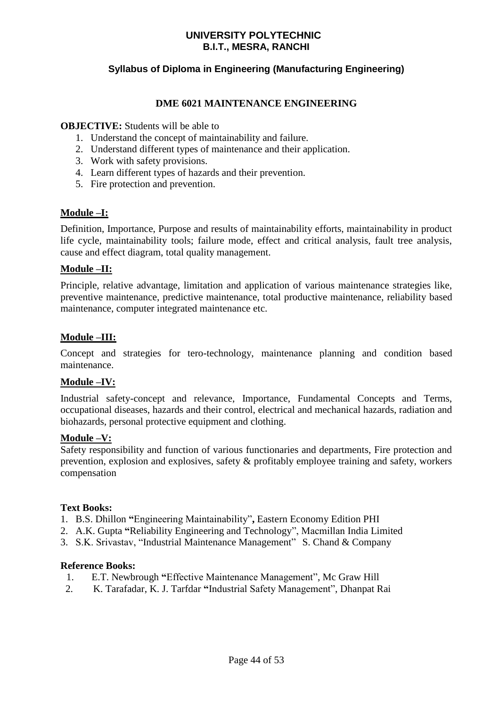# **Syllabus of Diploma in Engineering (Manufacturing Engineering)**

### **DME 6021 MAINTENANCE ENGINEERING**

### **OBJECTIVE:** Students will be able to

- 1. Understand the concept of maintainability and failure.
- 2. Understand different types of maintenance and their application.
- 3. Work with safety provisions.
- 4. Learn different types of hazards and their prevention.
- 5. Fire protection and prevention.

### **Module –I:**

Definition, Importance, Purpose and results of maintainability efforts, maintainability in product life cycle, maintainability tools; failure mode, effect and critical analysis, fault tree analysis, cause and effect diagram, total quality management.

### **Module –II:**

Principle, relative advantage, limitation and application of various maintenance strategies like, preventive maintenance, predictive maintenance, total productive maintenance, reliability based maintenance, computer integrated maintenance etc.

### **Module –III:**

Concept and strategies for tero-technology, maintenance planning and condition based maintenance.

### **Module –IV:**

Industrial safety-concept and relevance, Importance, Fundamental Concepts and Terms, occupational diseases, hazards and their control, electrical and mechanical hazards, radiation and biohazards, personal protective equipment and clothing.

### **Module –V:**

Safety responsibility and function of various functionaries and departments, Fire protection and prevention, explosion and explosives, safety & profitably employee training and safety, workers compensation

### **Text Books:**

- 1. B.S. Dhillon **"**Engineering Maintainability"**,** Eastern Economy Edition PHI
- 2. A.K. Gupta **"**Reliability Engineering and Technology", Macmillan India Limited
- 3. S.K. Srivastav, "Industrial Maintenance Management" S. Chand & Company

### **Reference Books:**

- 1. E.T. Newbrough **"**Effective Maintenance Management", Mc Graw Hill
- 2. K. Tarafadar, K. J. Tarfdar **"**Industrial Safety Management", Dhanpat Rai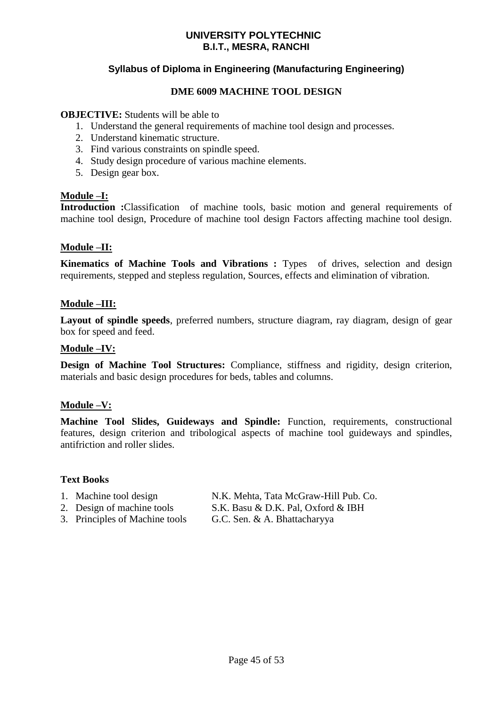# **Syllabus of Diploma in Engineering (Manufacturing Engineering)**

### **DME 6009 MACHINE TOOL DESIGN**

### **OBJECTIVE:** Students will be able to

- 1. Understand the general requirements of machine tool design and processes.
- 2. Understand kinematic structure.
- 3. Find various constraints on spindle speed.
- 4. Study design procedure of various machine elements.
- 5. Design gear box.

### **Module –I:**

**Introduction :**Classification of machine tools, basic motion and general requirements of machine tool design, Procedure of machine tool design Factors affecting machine tool design.

### **Module –II:**

**Kinematics of Machine Tools and Vibrations :** Types of drives, selection and design requirements, stepped and stepless regulation, Sources, effects and elimination of vibration.

### **Module –III:**

**Layout of spindle speeds**, preferred numbers, structure diagram, ray diagram, design of gear box for speed and feed.

### **Module –IV:**

**Design of Machine Tool Structures:** Compliance, stiffness and rigidity, design criterion, materials and basic design procedures for beds, tables and columns.

### **Module –V:**

**Machine Tool Slides, Guideways and Spindle:** Function, requirements, constructional features, design criterion and tribological aspects of machine tool guideways and spindles, antifriction and roller slides.

### **Text Books**

1. Machine tool design N.K. Mehta, Tata McGraw-Hill Pub. Co.

- 2. Design of machine tools S.K. Basu & D.K. Pal, Oxford & IBH
- 
- 3. Principles of Machine tools G.C. Sen. & A. Bhattacharyya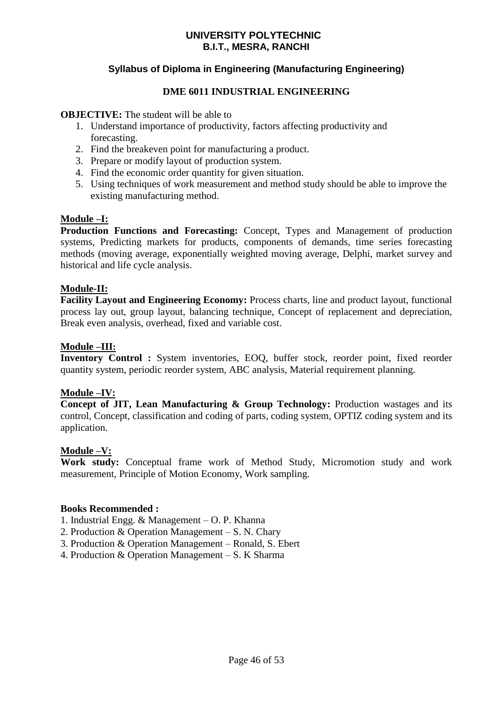# **Syllabus of Diploma in Engineering (Manufacturing Engineering)**

### **DME 6011 INDUSTRIAL ENGINEERING**

### **OBJECTIVE:** The student will be able to

- 1. Understand importance of productivity, factors affecting productivity and forecasting.
- 2. Find the breakeven point for manufacturing a product.
- 3. Prepare or modify layout of production system.
- 4. Find the economic order quantity for given situation.
- 5. Using techniques of work measurement and method study should be able to improve the existing manufacturing method.

### **Module –I:**

**Production Functions and Forecasting:** Concept, Types and Management of production systems, Predicting markets for products, components of demands, time series forecasting methods (moving average, exponentially weighted moving average, Delphi, market survey and historical and life cycle analysis.

### **Module-II:**

**Facility Layout and Engineering Economy:** Process charts, line and product layout, functional process lay out, group layout, balancing technique, Concept of replacement and depreciation, Break even analysis, overhead, fixed and variable cost.

### **Module –III:**

**Inventory Control :** System inventories, EOQ, buffer stock, reorder point, fixed reorder quantity system, periodic reorder system, ABC analysis, Material requirement planning.

### **Module –IV:**

**Concept of JIT, Lean Manufacturing & Group Technology:** Production wastages and its control, Concept, classification and coding of parts, coding system, OPTIZ coding system and its application.

### **Module –V:**

**Work study:** Conceptual frame work of Method Study, Micromotion study and work measurement, Principle of Motion Economy, Work sampling.

### **Books Recommended :**

1. Industrial Engg. & Management – O. P. Khanna

- 2. Production & Operation Management S. N. Chary
- 3. Production & Operation Management Ronald, S. Ebert
- 4. Production & Operation Management S. K Sharma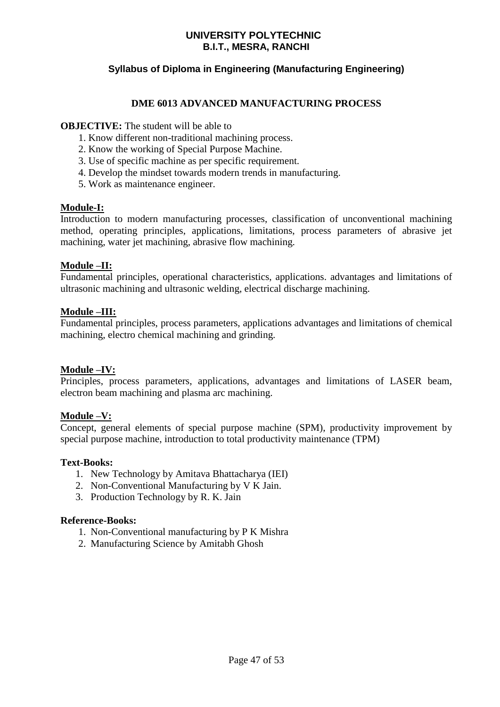# **Syllabus of Diploma in Engineering (Manufacturing Engineering)**

### **DME 6013 ADVANCED MANUFACTURING PROCESS**

### **OBJECTIVE:** The student will be able to

- 1. Know different non-traditional machining process.
- 2. Know the working of Special Purpose Machine.
- 3. Use of specific machine as per specific requirement.
- 4. Develop the mindset towards modern trends in manufacturing.
- 5. Work as maintenance engineer.

#### **Module-I:**

Introduction to modern manufacturing processes, classification of unconventional machining method, operating principles, applications, limitations, process parameters of abrasive jet machining, water jet machining, abrasive flow machining.

### **Module –II:**

Fundamental principles, operational characteristics, applications. advantages and limitations of ultrasonic machining and ultrasonic welding, electrical discharge machining.

### **Module –III:**

Fundamental principles, process parameters, applications advantages and limitations of chemical machining, electro chemical machining and grinding.

### **Module –IV:**

Principles, process parameters, applications, advantages and limitations of LASER beam, electron beam machining and plasma arc machining.

### **Module –V:**

Concept, general elements of special purpose machine (SPM), productivity improvement by special purpose machine, introduction to total productivity maintenance (TPM)

### **Text-Books:**

- 1. New Technology by Amitava Bhattacharya (IEI)
- 2. Non-Conventional Manufacturing by V K Jain.
- 3. Production Technology by R. K. Jain

### **Reference-Books:**

- 1. Non-Conventional manufacturing by P K Mishra
- 2. Manufacturing Science by Amitabh Ghosh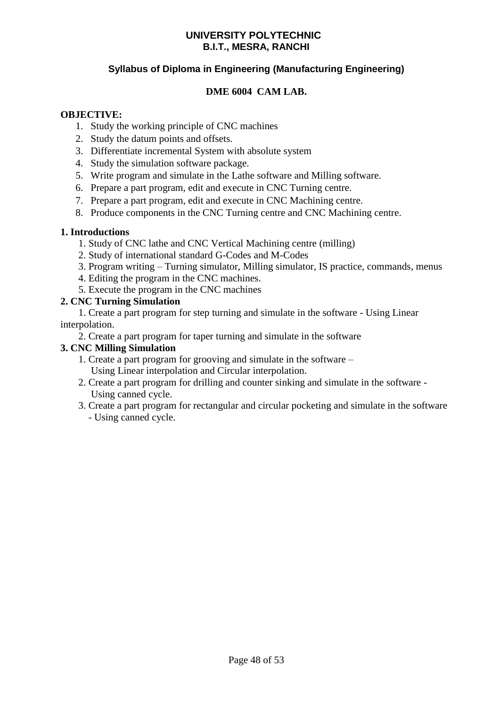# **Syllabus of Diploma in Engineering (Manufacturing Engineering)**

# **DME 6004 CAM LAB.**

### **OBJECTIVE:**

- 1. Study the working principle of CNC machines
- 2. Study the datum points and offsets.
- 3. Differentiate incremental System with absolute system
- 4. Study the simulation software package.
- 5. Write program and simulate in the Lathe software and Milling software.
- 6. Prepare a part program, edit and execute in CNC Turning centre.
- 7. Prepare a part program, edit and execute in CNC Machining centre.
- 8. Produce components in the CNC Turning centre and CNC Machining centre.

### **1. Introductions**

- 1. Study of CNC lathe and CNC Vertical Machining centre (milling)
- 2. Study of international standard G-Codes and M-Codes
- 3. Program writing Turning simulator, Milling simulator, IS practice, commands, menus
- 4. Editing the program in the CNC machines.
- 5. Execute the program in the CNC machines

### **2. CNC Turning Simulation**

1. Create a part program for step turning and simulate in the software - Using Linear interpolation.

2. Create a part program for taper turning and simulate in the software

### **3. CNC Milling Simulation**

- 1. Create a part program for grooving and simulate in the software Using Linear interpolation and Circular interpolation.
- 2. Create a part program for drilling and counter sinking and simulate in the software Using canned cycle.
- 3. Create a part program for rectangular and circular pocketing and simulate in the software - Using canned cycle.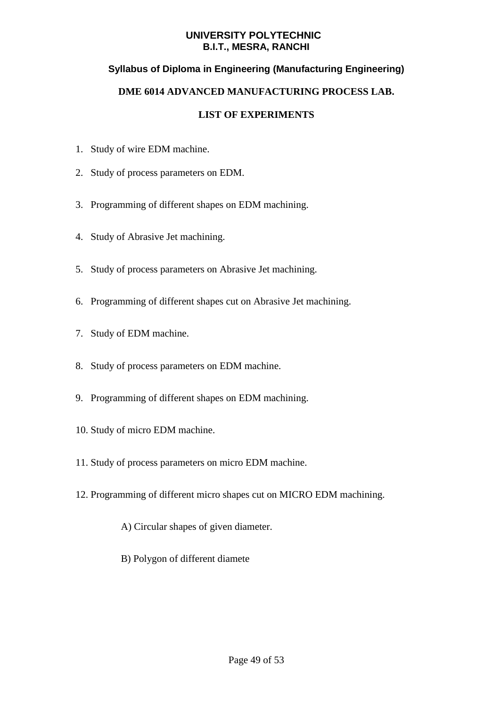# **Syllabus of Diploma in Engineering (Manufacturing Engineering)**

### **DME 6014 ADVANCED MANUFACTURING PROCESS LAB.**

- 1. Study of wire EDM machine.
- 2. Study of process parameters on EDM.
- 3. Programming of different shapes on EDM machining.
- 4. Study of Abrasive Jet machining.
- 5. Study of process parameters on Abrasive Jet machining.
- 6. Programming of different shapes cut on Abrasive Jet machining.
- 7. Study of EDM machine.
- 8. Study of process parameters on EDM machine.
- 9. Programming of different shapes on EDM machining.
- 10. Study of micro EDM machine.
- 11. Study of process parameters on micro EDM machine.
- 12. Programming of different micro shapes cut on MICRO EDM machining.
	- A) Circular shapes of given diameter.
	- B) Polygon of different diamete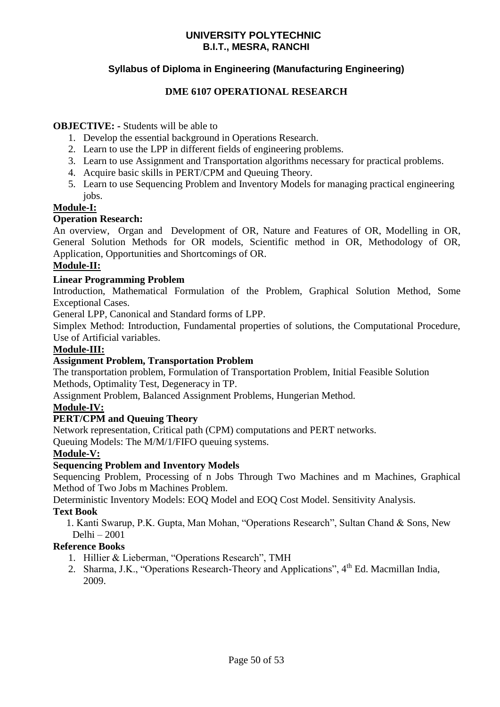# **Syllabus of Diploma in Engineering (Manufacturing Engineering)**

### **DME 6107 OPERATIONAL RESEARCH**

### **OBJECTIVE: -** Students will be able to

- 1. Develop the essential background in Operations Research.
- 2. Learn to use the LPP in different fields of engineering problems.
- 3. Learn to use Assignment and Transportation algorithms necessary for practical problems.
- 4. Acquire basic skills in PERT/CPM and Queuing Theory.
- 5. Learn to use Sequencing Problem and Inventory Models for managing practical engineering jobs.

### **Module-I:**

### **Operation Research:**

An overview, Organ and Development of OR, Nature and Features of OR, Modelling in OR, General Solution Methods for OR models, Scientific method in OR, Methodology of OR, Application, Opportunities and Shortcomings of OR.

### **Module-II:**

### **Linear Programming Problem**

Introduction, Mathematical Formulation of the Problem, Graphical Solution Method, Some Exceptional Cases.

General LPP, Canonical and Standard forms of LPP.

Simplex Method: Introduction, Fundamental properties of solutions, the Computational Procedure, Use of Artificial variables.

### **Module-III:**

### **Assignment Problem, Transportation Problem**

The transportation problem, Formulation of Transportation Problem, Initial Feasible Solution Methods, Optimality Test, Degeneracy in TP.

Assignment Problem, Balanced Assignment Problems, Hungerian Method.

### **Module-IV:**

### **PERT/CPM and Queuing Theory**

Network representation, Critical path (CPM) computations and PERT networks.

Queuing Models: The M/M/1/FIFO queuing systems.

### **Module-V:**

### **Sequencing Problem and Inventory Models**

Sequencing Problem, Processing of n Jobs Through Two Machines and m Machines, Graphical Method of Two Jobs m Machines Problem.

Deterministic Inventory Models: EOQ Model and EOQ Cost Model. Sensitivity Analysis.

### **Text Book**

1. Kanti Swarup, P.K. Gupta, Man Mohan, "Operations Research", Sultan Chand & Sons, New Delhi – 2001

### **Reference Books**

- 1. Hillier & Lieberman, "Operations Research", TMH
- 2. Sharma, J.K., "Operations Research-Theory and Applications", 4<sup>th</sup> Ed. Macmillan India, 2009.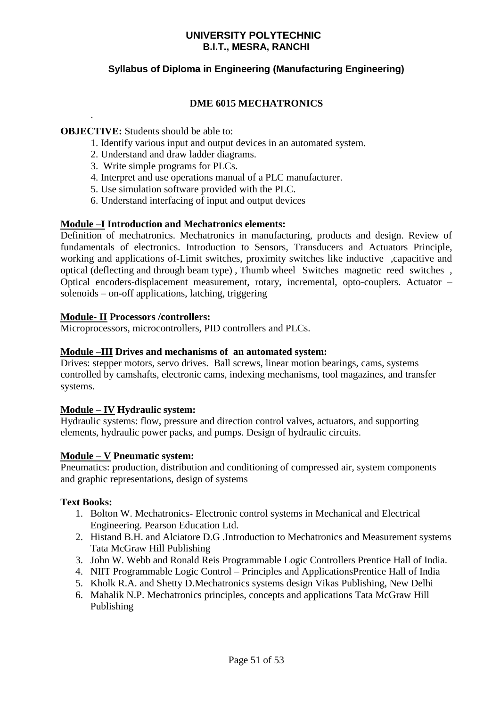# **Syllabus of Diploma in Engineering (Manufacturing Engineering)**

# **DME 6015 MECHATRONICS**

### **OBJECTIVE:** Students should be able to:

.

- 1. Identify various input and output devices in an automated system.
- 2. Understand and draw ladder diagrams.
- 3. Write simple programs for PLCs.
- 4. Interpret and use operations manual of a PLC manufacturer.
- 5. Use simulation software provided with the PLC.
- 6. Understand interfacing of input and output devices

### **Module –I Introduction and Mechatronics elements:**

Definition of mechatronics. Mechatronics in manufacturing, products and design. Review of fundamentals of electronics. Introduction to Sensors, Transducers and Actuators Principle, working and applications of-Limit switches, proximity switches like inductive ,capacitive and optical (deflecting and through beam type) , Thumb wheel Switches magnetic reed switches , Optical encoders-displacement measurement, rotary, incremental, opto-couplers. Actuator – solenoids – on-off applications, latching, triggering

### **Module- II Processors /controllers:**

Microprocessors, microcontrollers, PID controllers and PLCs.

### **Module –III Drives and mechanisms of an automated system:**

Drives: stepper motors, servo drives. Ball screws, linear motion bearings, cams, systems controlled by camshafts, electronic cams, indexing mechanisms, tool magazines, and transfer systems.

### **Module – IV Hydraulic system:**

Hydraulic systems: flow, pressure and direction control valves, actuators, and supporting elements, hydraulic power packs, and pumps. Design of hydraulic circuits.

### **Module – V Pneumatic system:**

Pneumatics: production, distribution and conditioning of compressed air, system components and graphic representations, design of systems

### **Text Books:**

- 1. Bolton W. Mechatronics- Electronic control systems in Mechanical and Electrical Engineering. Pearson Education Ltd.
- 2. Histand B.H. and Alciatore D.G .Introduction to Mechatronics and Measurement systems Tata McGraw Hill Publishing
- 3. John W. Webb and Ronald Reis Programmable Logic Controllers Prentice Hall of India.
- 4. NIIT Programmable Logic Control Principles and ApplicationsPrentice Hall of India
- 5. Kholk R.A. and Shetty D.Mechatronics systems design Vikas Publishing, New Delhi
- 6. Mahalik N.P. Mechatronics principles, concepts and applications Tata McGraw Hill Publishing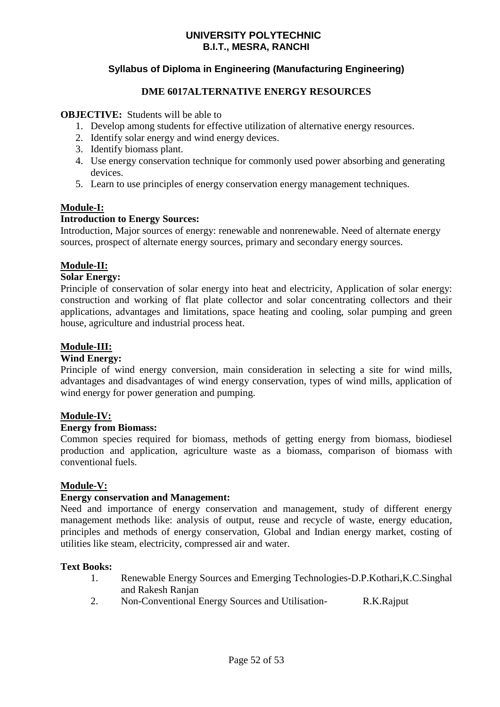# **Syllabus of Diploma in Engineering (Manufacturing Engineering)**

### **DME 6017ALTERNATIVE ENERGY RESOURCES**

### **OBJECTIVE:** Students will be able to

- 1. Develop among students for effective utilization of alternative energy resources.
- 2. Identify solar energy and wind energy devices.
- 3. Identify biomass plant.
- 4. Use energy conservation technique for commonly used power absorbing and generating devices.
- 5. Learn to use principles of energy conservation energy management techniques.

### **Module-I:**

### **Introduction to Energy Sources:**

Introduction, Major sources of energy: renewable and nonrenewable. Need of alternate energy sources, prospect of alternate energy sources, primary and secondary energy sources.

### **Module-II:**

### **Solar Energy:**

Principle of conservation of solar energy into heat and electricity, Application of solar energy: construction and working of flat plate collector and solar concentrating collectors and their applications, advantages and limitations, space heating and cooling, solar pumping and green house, agriculture and industrial process heat.

### **Module-III:**

### **Wind Energy:**

Principle of wind energy conversion, main consideration in selecting a site for wind mills, advantages and disadvantages of wind energy conservation, types of wind mills, application of wind energy for power generation and pumping.

### **Module-IV:**

### **Energy from Biomass:**

Common species required for biomass, methods of getting energy from biomass, biodiesel production and application, agriculture waste as a biomass, comparison of biomass with conventional fuels.

### **Module-V:**

### **Energy conservation and Management:**

Need and importance of energy conservation and management, study of different energy management methods like: analysis of output, reuse and recycle of waste, energy education, principles and methods of energy conservation, Global and Indian energy market, costing of utilities like steam, electricity, compressed air and water.

### **Text Books:**

- 1. Renewable Energy Sources and Emerging Technologies-D.P.Kothari,K.C.Singhal and Rakesh Ranjan
- 2. Non-Conventional Energy Sources and Utilisation- R.K.Rajput